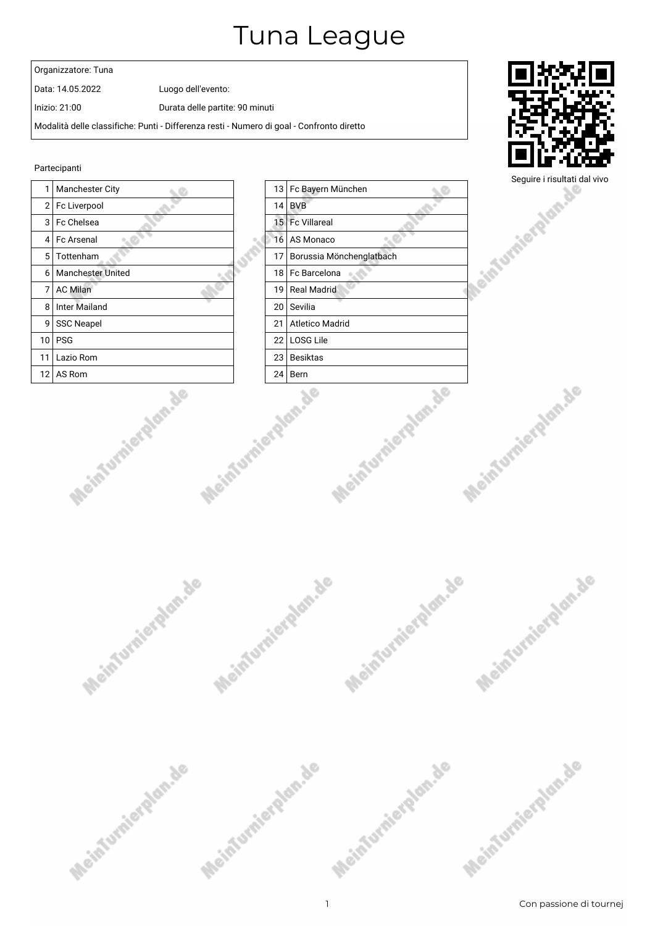#### Organizzatore: Tuna

Data: 14.05.2022 Luogo dell'evento:

Inizio: 21:00 Durata delle partite: 90 minuti

Modalità delle classifiche: Punti - Differenza resti - Numero di goal - Confronto diretto

#### Partecipanti







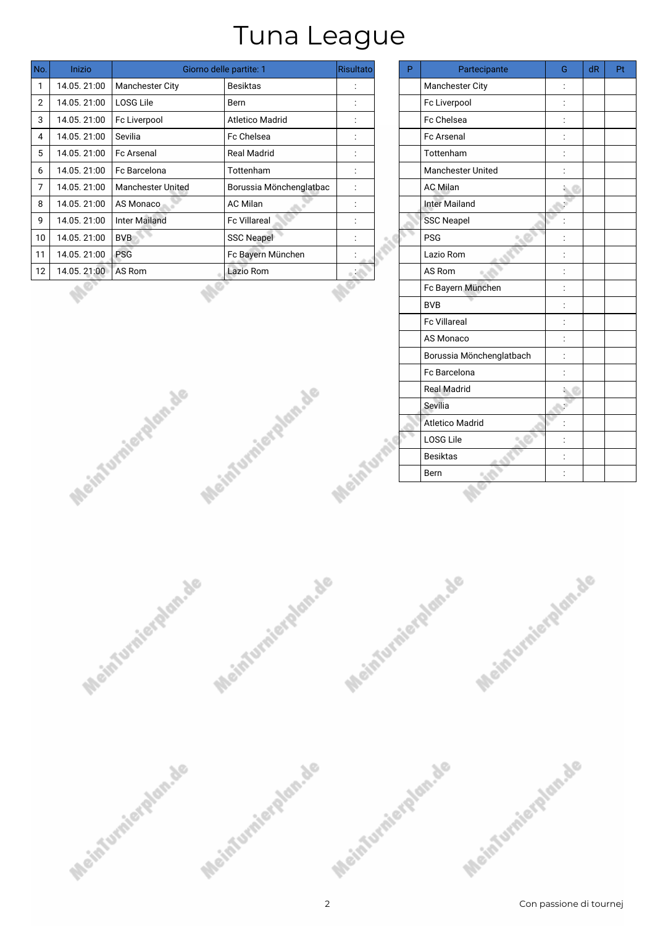| No. | <b>Inizio</b> | Giorno delle partite: 1  | Risultato               | P.                   | Partecipante | G                        | dR              | Pf |  |
|-----|---------------|--------------------------|-------------------------|----------------------|--------------|--------------------------|-----------------|----|--|
| 1   | 14.05.21:00   | Manchester City          | Besiktas                | ٠<br>$\blacksquare$  |              | Manchester City          |                 |    |  |
| 2   | 14.05.21:00   | LOSG Lile                | Bern                    | $\blacksquare$       |              | Fc Liverpool             |                 |    |  |
| 3   | 14.05.21:00   | Fc Liverpool             | <b>Atletico Madrid</b>  | $\cdot$              |              | Fc Chelsea               |                 |    |  |
| 4   | 14.05.21:00   | Sevilia                  | Fc Chelsea              |                      |              | <b>Fc Arsenal</b>        |                 |    |  |
| 5   | 14.05.21:00   | <b>Fc Arsenal</b>        | <b>Real Madrid</b>      | ٠<br>$\cdot$         |              | <b>Tottenham</b>         |                 |    |  |
| 6   | 14.05.21:00   | Fc Barcelona             | Tottenham               | ٠<br>$\blacksquare$  |              | <b>Manchester United</b> |                 |    |  |
| 7   | 14.05.21:00   | <b>Manchester United</b> | Borussia Mönchenglatbac | $\ddot{\phantom{a}}$ |              | <b>AC Milan</b>          | $\sim$ $\sigma$ |    |  |
| 8   | 14.05.21:00   | AS Monaco                | <b>AC Milan</b>         | ٠<br>$\cdot$         |              | <b>Inter Mailand</b>     |                 |    |  |
| 9   | 14.05.21:00   | <b>Inter Mailand</b>     | <b>Fc Villareal</b>     | $\cdot$              |              | <b>SSC Neapel</b>        |                 |    |  |
| 10  | 14.05.21:00   | <b>BVB</b>               | <b>SSC Neapel</b>       | ٠<br>$\blacksquare$  |              | <b>PSG</b>               |                 |    |  |
| 11  | 14.05.21:00   | <b>PSG</b>               | Fc Bayern München       | $\cdot$              |              | Lazio Rom                |                 |    |  |
| 12  | 14.05.21:00   | AS Rom                   | Lazio Rom               | <b>ALCOHOL</b>       |              | AS Rom                   |                 |    |  |
|     |               |                          |                         |                      |              | Fc Bayern München        |                 |    |  |
|     |               |                          |                         |                      |              |                          |                 |    |  |

Meintumierglan.de

Meinfurnierglan.de

|   | Risultato      | P | Partecipante             | G              | dR | Pt |
|---|----------------|---|--------------------------|----------------|----|----|
|   | $\vdots$       |   | Manchester City          | $\ddot{\cdot}$ |    |    |
|   |                |   | Fc Liverpool             | $\ddot{\cdot}$ |    |    |
|   | $\vdots$       |   | Fc Chelsea               | $\vdots$       |    |    |
|   | $\ddot{\cdot}$ |   | Fc Arsenal               | $\ddot{\cdot}$ |    |    |
|   | $\vdots$       |   | Tottenham                | $\vdots$       |    |    |
|   |                |   | Manchester United        |                |    |    |
| c | $\ddot{\cdot}$ |   | <b>AC Milan</b>          |                |    |    |
|   | $\ddot{\cdot}$ |   | <b>Inter Mailand</b>     |                |    |    |
|   |                |   | <b>SSC Neapel</b>        |                |    |    |
|   |                |   | <b>PSG</b>               |                |    |    |
|   |                |   | Lazio Rom                | $\ddot{\cdot}$ |    |    |
|   |                |   | AS Rom                   | $\vdots$       |    |    |
|   |                |   | Fc Bayern München        | $\vdots$       |    |    |
|   |                |   | <b>BVB</b>               | $\vdots$       |    |    |
|   |                |   | Fc Villareal             | $\ddot{\cdot}$ |    |    |
|   |                |   | AS Monaco                | $\ddot{\cdot}$ |    |    |
|   |                |   | Borussia Mönchenglatbach | $\ddot{\cdot}$ |    |    |
|   |                |   | Fc Barcelona             |                |    |    |
|   |                |   | Real Madrid              |                |    |    |
|   |                |   | Sevilia                  |                |    |    |
|   |                |   | <b>Atletico Madrid</b>   |                |    |    |
|   |                |   | LOSG Lile                |                |    |    |
|   |                |   | <b>Besiktas</b>          | $\vdots$       |    |    |
|   |                |   | Bern                     | $\ddot{\cdot}$ |    |    |
|   | Acinturi       |   |                          |                |    |    |

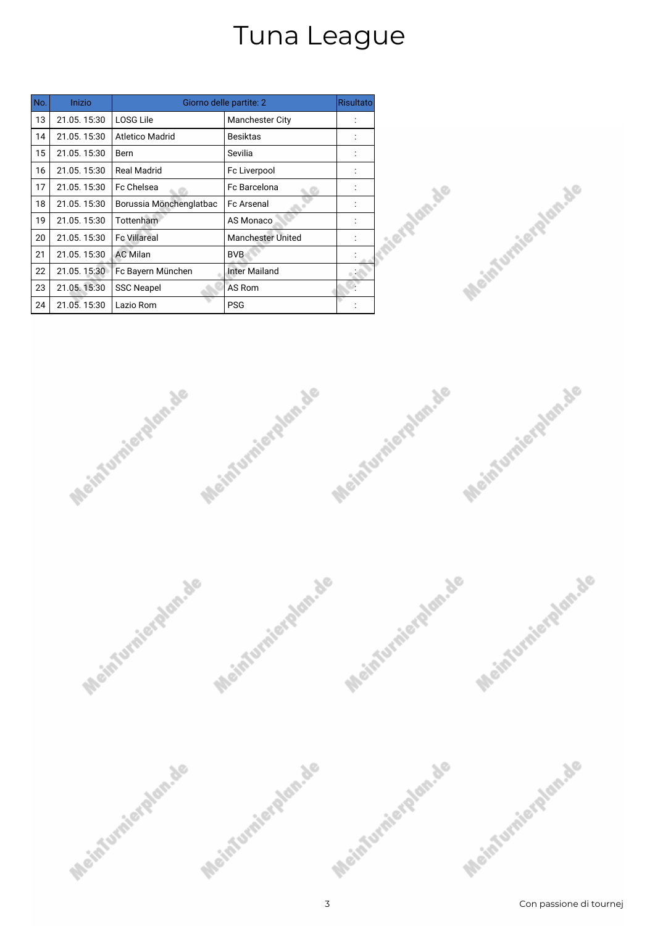| No. | Inizio      | Giorno delle partite: 2 | <b>Risultato</b>         |  |
|-----|-------------|-------------------------|--------------------------|--|
| 13  | 21.05.15:30 | <b>LOSG Lile</b>        | <b>Manchester City</b>   |  |
| 14  | 21.05.15:30 | <b>Atletico Madrid</b>  | <b>Besiktas</b>          |  |
| 15  | 21.05.15:30 | Bern                    | Sevilia                  |  |
| 16  | 21.05.15:30 | <b>Real Madrid</b>      | Fc Liverpool             |  |
| 17  | 21.05.15:30 | Fc Chelsea              | Fc Barcelona             |  |
| 18  | 21.05.15:30 | Borussia Mönchenglatbac | <b>Fc Arsenal</b>        |  |
| 19  | 21.05.15:30 | Tottenham               | AS Monaco                |  |
| 20  | 21.05.15:30 | <b>Fc Villareal</b>     | <b>Manchester United</b> |  |
| 21  | 21.05.15:30 | <b>AC Milan</b>         | <b>BVB</b>               |  |
| 22  | 21.05.15:30 | Fc Bayern München       | <b>Inter Mailand</b>     |  |
| 23  | 21.05.15:30 | <b>SSC Neapel</b>       | AS Rom                   |  |
| 24  | 21.05.15:30 | Lazio Rom               | <b>PSG</b>               |  |







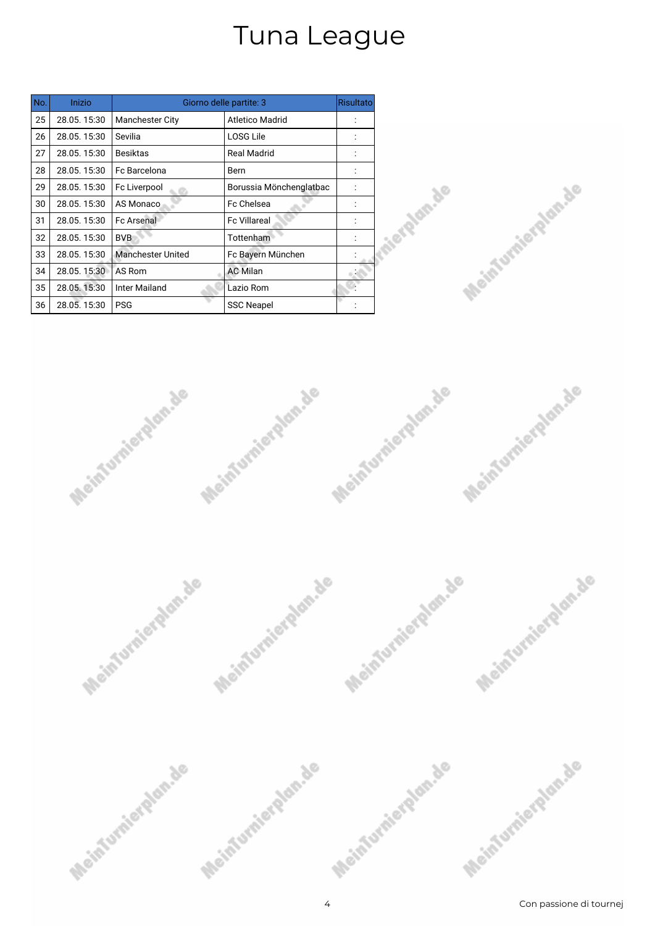| No. | Inizio      | Giorno delle partite: 3  |                         |  |
|-----|-------------|--------------------------|-------------------------|--|
| 25  | 28.05.15:30 | <b>Manchester City</b>   | <b>Atletico Madrid</b>  |  |
| 26  | 28.05.15:30 | Sevilia                  | <b>LOSG Lile</b>        |  |
| 27  | 28.05.15:30 | <b>Besiktas</b>          | <b>Real Madrid</b>      |  |
| 28  | 28.05.15:30 | Fc Barcelona             | Bern                    |  |
| 29  | 28.05.15:30 | Fc Liverpool             | Borussia Mönchenglatbac |  |
| 30  | 28.05.15:30 | AS Monaco                | Fc Chelsea              |  |
| 31  | 28.05.15:30 | <b>Fc Arsenal</b>        | <b>Fc Villareal</b>     |  |
| 32  | 28.05.15:30 | <b>BVB</b>               | Tottenham               |  |
| 33  | 28.05.15:30 | <b>Manchester United</b> | Fc Bayern München       |  |
| 34  | 28.05.15:30 | AS Rom                   | <b>AC Milan</b>         |  |
| 35  | 28.05.15:30 | <b>Inter Mailand</b>     | Lazio Rom               |  |
| 36  | 28.05.15:30 | <b>PSG</b>               | <b>SSC Neapel</b>       |  |





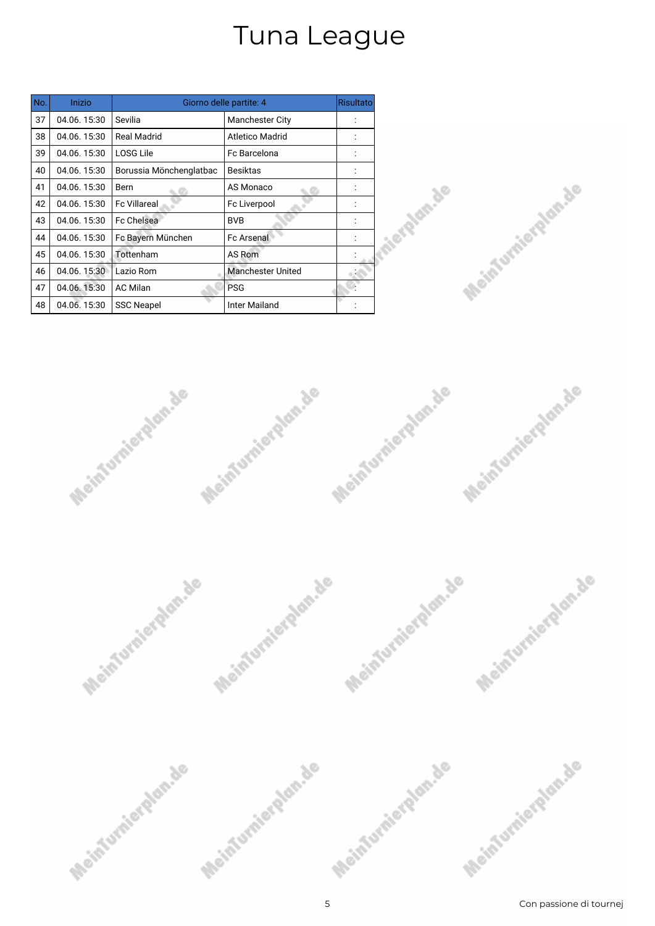| No. | Inizio      | Giorno delle partite: 4 |                          |  |
|-----|-------------|-------------------------|--------------------------|--|
| 37  | 04.06.15:30 | Sevilia                 | <b>Manchester City</b>   |  |
| 38  | 04.06.15:30 | <b>Real Madrid</b>      | <b>Atletico Madrid</b>   |  |
| 39  | 04.06.15:30 | <b>LOSG Lile</b>        | Fc Barcelona             |  |
| 40  | 04.06.15:30 | Borussia Mönchenglatbac | <b>Besiktas</b>          |  |
| 41  | 04.06.15:30 | Bern                    | AS Monaco                |  |
| 42  | 04.06.15:30 | <b>Fc Villareal</b>     | Fc Liverpool             |  |
| 43  | 04.06.15:30 | Fc Chelsea              | <b>BVB</b>               |  |
| 44  | 04.06.15:30 | Fc Bayern München       | <b>Fc Arsenal</b>        |  |
| 45  | 04.06.15:30 | Tottenham               | AS Rom                   |  |
| 46  | 04.06.15:30 | Lazio Rom               | <b>Manchester United</b> |  |
| 47  | 04.06.15:30 | <b>AC Milan</b>         | <b>PSG</b>               |  |
| 48  | 04.06.15:30 | <b>SSC Neapel</b>       | Inter Mailand            |  |







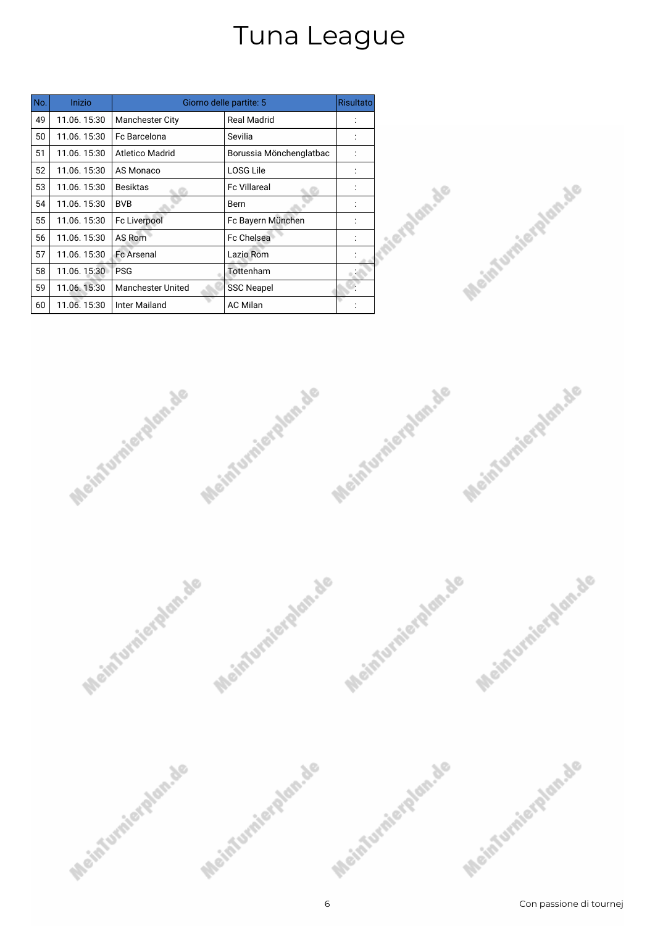| No. | Inizio      | Giorno delle partite: 5  |                         |  |
|-----|-------------|--------------------------|-------------------------|--|
| 49  | 11.06.15:30 | <b>Manchester City</b>   | <b>Real Madrid</b>      |  |
| 50  | 11.06.15:30 | Fc Barcelona             | Sevilia                 |  |
| 51  | 11.06.15:30 | Atletico Madrid          | Borussia Mönchenglatbac |  |
| 52  | 11.06.15:30 | AS Monaco                | <b>LOSG Lile</b>        |  |
| 53  | 11.06.15:30 | <b>Besiktas</b>          | <b>Fc Villareal</b>     |  |
| 54  | 11.06.15:30 | <b>BVB</b>               | Bern                    |  |
| 55  | 11.06.15:30 | Fc Liverpool             | Fc Bayern München       |  |
| 56  | 11.06.15:30 | AS Rom                   | <b>Fc Chelsea</b>       |  |
| 57  | 11.06.15:30 | <b>Fc Arsenal</b>        | Lazio Rom               |  |
| 58  | 11.06.15:30 | <b>PSG</b>               | Tottenham               |  |
| 59  | 11.06.15:30 | <b>Manchester United</b> | <b>SSC Neapel</b>       |  |
| 60  | 11.06.15:30 | <b>Inter Mailand</b>     | <b>AC Milan</b>         |  |







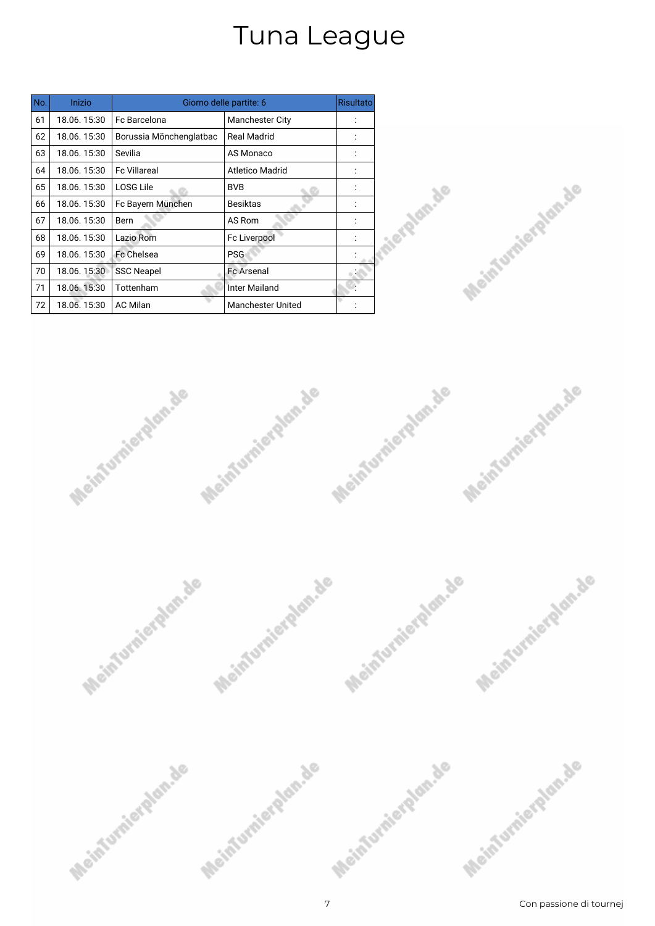| No. | Inizio      | Giorno delle partite: 6 |                          |  |
|-----|-------------|-------------------------|--------------------------|--|
| 61  | 18.06.15:30 | Fc Barcelona            | <b>Manchester City</b>   |  |
| 62  | 18.06.15:30 | Borussia Mönchenglatbac | <b>Real Madrid</b>       |  |
| 63  | 18.06.15:30 | Sevilia                 | <b>AS Monaco</b>         |  |
| 64  | 18.06.15:30 | <b>Fc Villareal</b>     | Atletico Madrid          |  |
| 65  | 18.06.15:30 | LOSG Lile               | <b>BVB</b>               |  |
| 66  | 18.06.15:30 | Fc Bayern München       | <b>Besiktas</b>          |  |
| 67  | 18.06.15:30 | Bern                    | AS Rom                   |  |
| 68  | 18.06.15:30 | Lazio Rom               | Fc Liverpool             |  |
| 69  | 18.06.15:30 | Fc Chelsea              | <b>PSG</b>               |  |
| 70  | 18.06.15:30 | <b>SSC Neapel</b>       | <b>Fc Arsenal</b>        |  |
| 71  | 18.06.15:30 | Tottenham               | Inter Mailand            |  |
| 72  | 18.06.15:30 | <b>AC Milan</b>         | <b>Manchester United</b> |  |







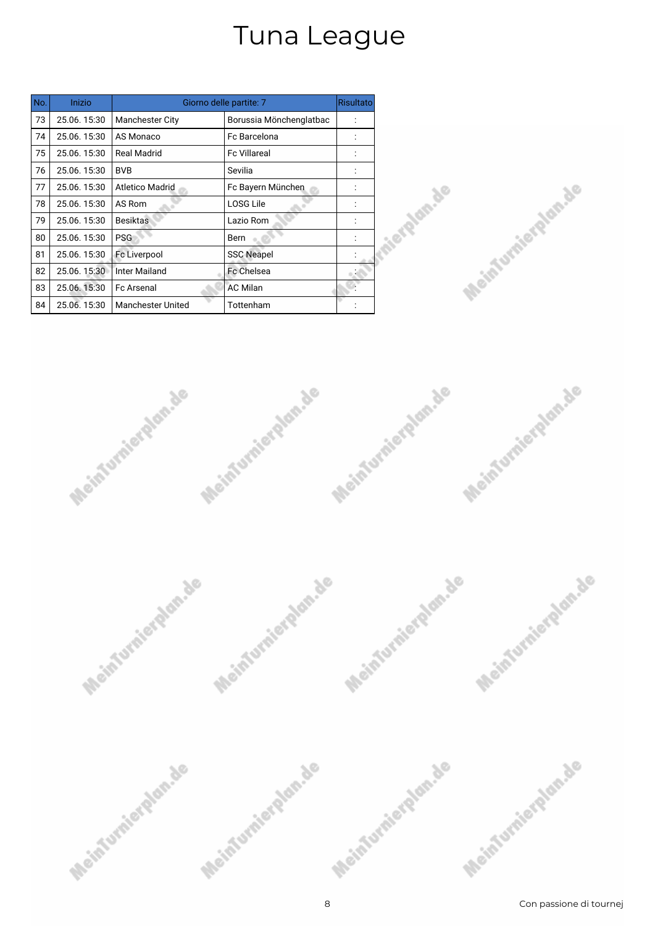| No. | Inizio      | Giorno delle partite: 7  |                         |  |
|-----|-------------|--------------------------|-------------------------|--|
| 73  | 25.06.15:30 | <b>Manchester City</b>   | Borussia Mönchenglatbac |  |
| 74  | 25.06.15:30 | AS Monaco                | Fc Barcelona            |  |
| 75  | 25.06.15:30 | <b>Real Madrid</b>       | <b>Fc Villareal</b>     |  |
| 76  | 25.06.15:30 | <b>BVB</b>               | Sevilia                 |  |
| 77  | 25.06.15:30 | <b>Atletico Madrid</b>   | Fc Bayern München       |  |
| 78  | 25.06.15:30 | AS Rom                   | <b>LOSG Lile</b>        |  |
| 79  | 25.06.15:30 | <b>Besiktas</b>          | Lazio Rom               |  |
| 80  | 25.06.15:30 | <b>PSG</b>               | Bern                    |  |
| 81  | 25.06.15:30 | <b>Fc Liverpool</b>      | <b>SSC Neapel</b>       |  |
| 82  | 25.06.15:30 | Inter Mailand            | <b>Fc Chelsea</b>       |  |
| 83  | 25.06.15:30 | <b>Fc Arsenal</b>        | <b>AC Milan</b>         |  |
| 84  | 25.06.15:30 | <b>Manchester United</b> | Tottenham               |  |







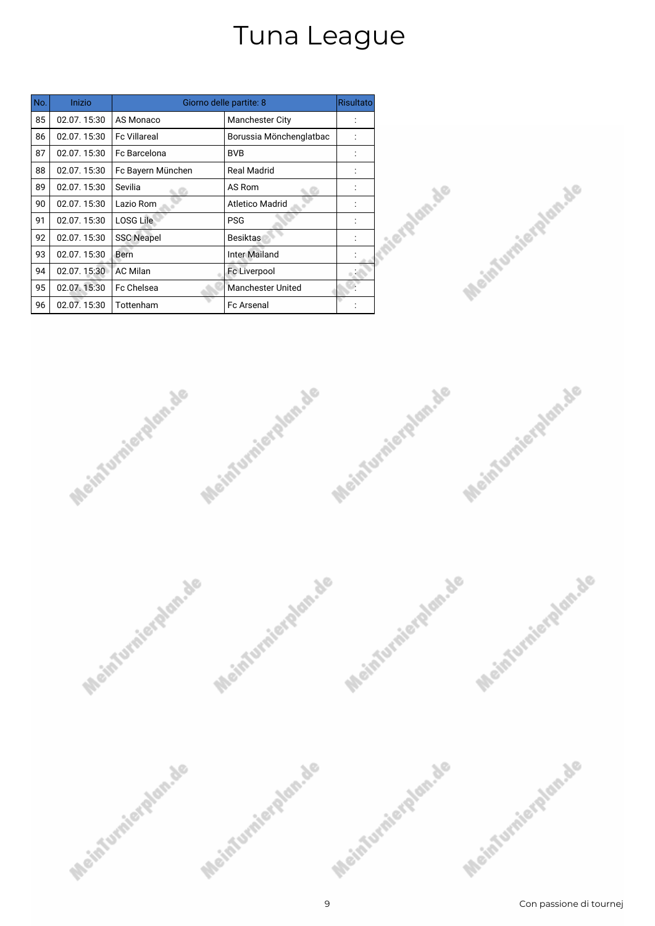| No. | Inizio      | Giorno delle partite: 8 |                          |  |
|-----|-------------|-------------------------|--------------------------|--|
| 85  | 02.07.15:30 | AS Monaco               | <b>Manchester City</b>   |  |
| 86  | 02.07.15:30 | <b>Fc Villareal</b>     | Borussia Mönchenglatbac  |  |
| 87  | 02.07.15:30 | Fc Barcelona            | <b>BVB</b>               |  |
| 88  | 02.07.15:30 | Fc Bayern München       | <b>Real Madrid</b>       |  |
| 89  | 02.07.15:30 | Sevilia                 | AS Rom                   |  |
| 90  | 02.07.15:30 | Lazio Rom               | <b>Atletico Madrid</b>   |  |
| 91  | 02.07.15:30 | <b>LOSG Lile</b>        | <b>PSG</b>               |  |
| 92  | 02.07.15:30 | <b>SSC Neapel</b>       | Besiktas                 |  |
| 93  | 02.07.15:30 | Bern                    | <b>Inter Mailand</b>     |  |
| 94  | 02.07.15:30 | <b>AC Milan</b>         | Fc Liverpool             |  |
| 95  | 02.07.15:30 | Fc Chelsea              | <b>Manchester United</b> |  |
| 96  | 02.07.15:30 | Tottenham               | <b>Fc Arsenal</b>        |  |







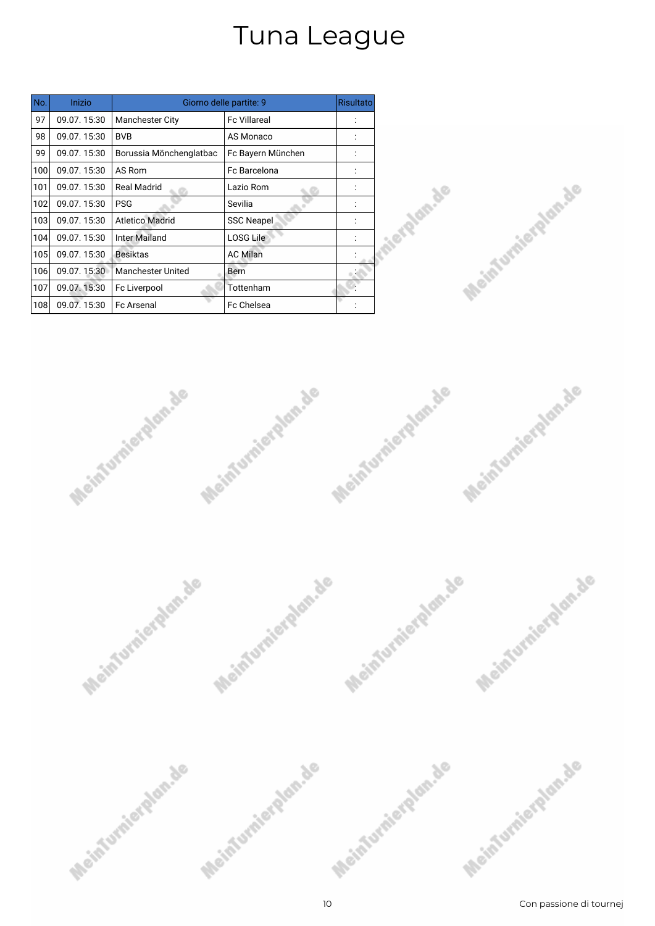| No. | Inizio      | Giorno delle partite: 9  |                     |  |
|-----|-------------|--------------------------|---------------------|--|
| 97  | 09.07.15:30 | <b>Manchester City</b>   | <b>Fc Villareal</b> |  |
| 98  | 09.07.15:30 | <b>BVB</b>               | AS Monaco           |  |
| 99  | 09.07.15:30 | Borussia Mönchenglatbac  | Fc Bayern München   |  |
| 100 | 09.07.15:30 | AS Rom                   | Fc Barcelona        |  |
| 101 | 09.07.15:30 | Real Madrid              | Lazio Rom           |  |
| 102 | 09.07.15:30 | <b>PSG</b>               | Sevilia             |  |
| 103 | 09.07.15:30 | <b>Atletico Madrid</b>   | <b>SSC Neapel</b>   |  |
| 104 | 09.07.15:30 | <b>Inter Mailand</b>     | <b>LOSG Lile</b>    |  |
| 105 | 09.07.15:30 | <b>Besiktas</b>          | <b>AC Milan</b>     |  |
| 106 | 09.07.15:30 | <b>Manchester United</b> | Bern                |  |
| 107 | 09.07.15:30 | Fc Liverpool             | Tottenham           |  |
| 108 | 09.07.15:30 | <b>Fc Arsenal</b>        | <b>Fc Chelsea</b>   |  |







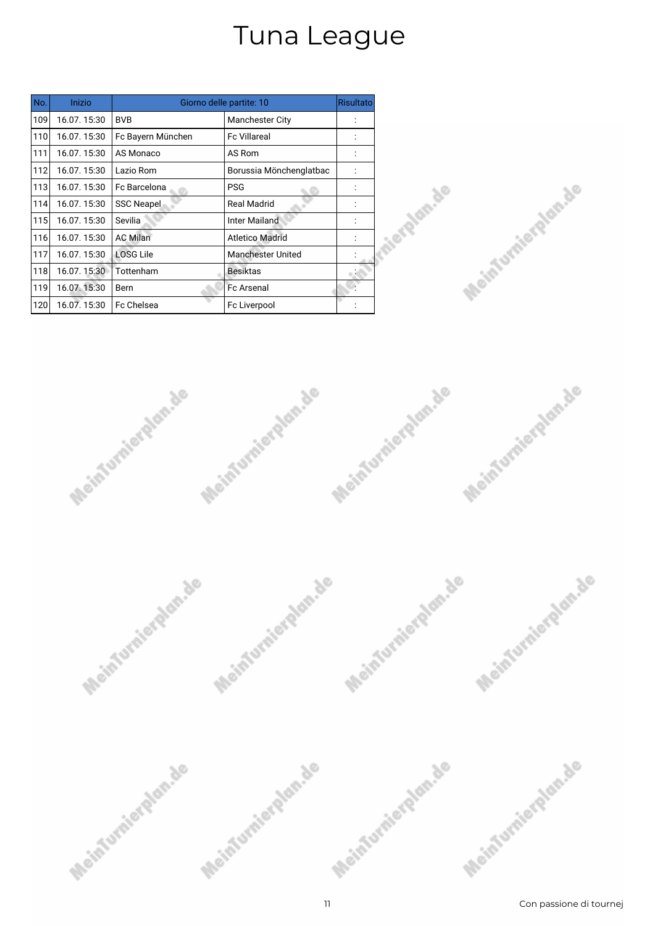| No. | Inizio      | Giorno delle partite: 10 |                         |  |
|-----|-------------|--------------------------|-------------------------|--|
| 109 | 16.07.15:30 | <b>BVB</b>               | <b>Manchester City</b>  |  |
| 110 | 16.07.15:30 | Fc Bayern München        | <b>Fc Villareal</b>     |  |
| 111 | 16.07.15:30 | AS Monaco                | AS Rom                  |  |
| 112 | 16.07.15:30 | Lazio Rom                | Borussia Mönchenglatbac |  |
| 113 | 16.07.15:30 | Fc Barcelona             | <b>PSG</b>              |  |
| 114 | 16.07.15:30 | <b>SSC Neapel</b>        | <b>Real Madrid</b>      |  |
| 115 | 16.07.15:30 | Sevilia                  | <b>Inter Mailand</b>    |  |
| 116 | 16.07.15:30 | <b>AC Milan</b>          | <b>Atletico Madrid</b>  |  |
| 117 | 16.07.15:30 | <b>LOSG Lile</b>         | Manchester United       |  |
| 118 | 16.07.15:30 | Tottenham                | <b>Besiktas</b>         |  |
| 119 | 16.07.15:30 | Bern                     | <b>Fc Arsenal</b>       |  |
| 120 | 16.07.15:30 | <b>Fc Chelsea</b>        | Fc Liverpool            |  |







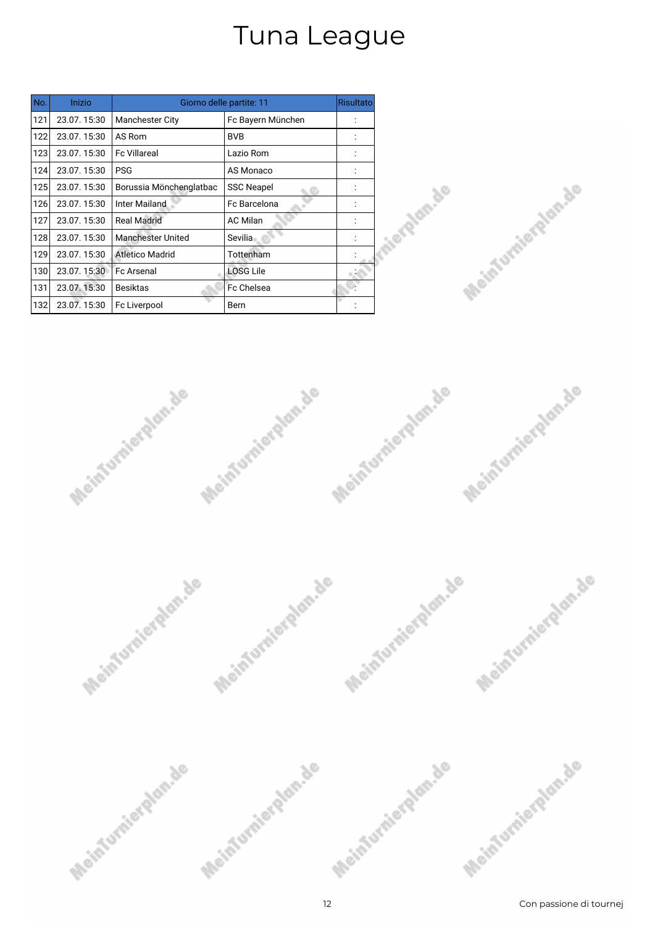| No. | Inizio      | Giorno delle partite: 11 |                   |  |
|-----|-------------|--------------------------|-------------------|--|
| 121 | 23.07.15:30 | <b>Manchester City</b>   | Fc Bayern München |  |
| 122 | 23.07.15:30 | AS Rom                   | <b>BVB</b>        |  |
| 123 | 23.07.15:30 | <b>Fc Villareal</b>      | Lazio Rom         |  |
| 124 | 23.07.15:30 | <b>PSG</b>               | AS Monaco         |  |
| 125 | 23.07.15:30 | Borussia Mönchenglatbac  | <b>SSC Neapel</b> |  |
| 126 | 23.07.15:30 | Inter Mailand            | Fc Barcelona      |  |
| 127 | 23.07.15:30 | <b>Real Madrid</b>       | <b>AC Milan</b>   |  |
| 128 | 23.07.15:30 | <b>Manchester United</b> | Sevilia           |  |
| 129 | 23.07.15:30 | <b>Atletico Madrid</b>   | Tottenham         |  |
| 130 | 23.07.15:30 | <b>Fc Arsenal</b>        | <b>LOSG Lile</b>  |  |
| 131 | 23.07.15:30 | <b>Besiktas</b>          | <b>Fc Chelsea</b> |  |
| 132 | 23.07.15:30 | Fc Liverpool             | Bern              |  |







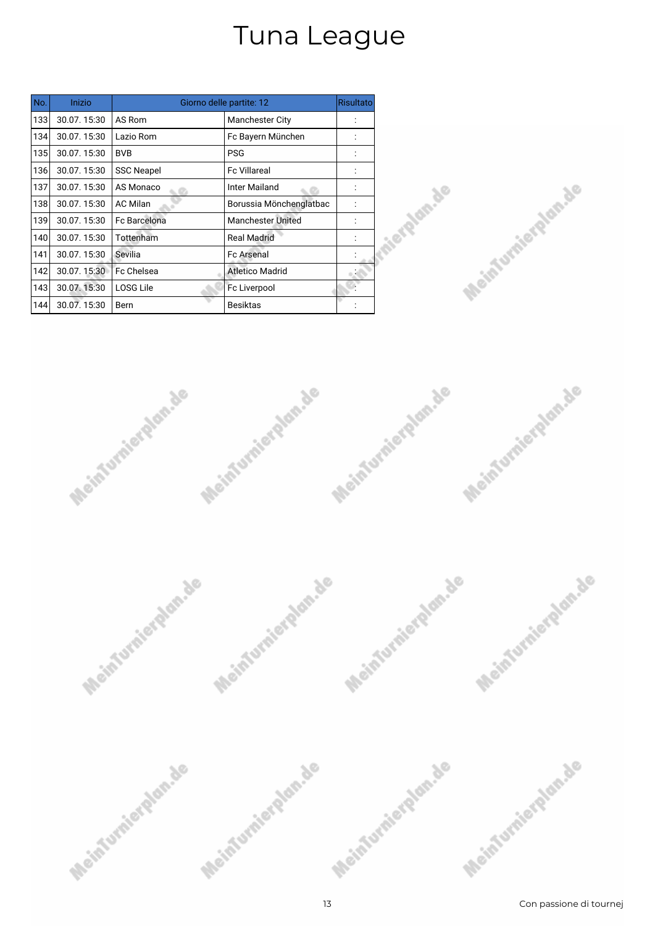| No. | Inizio      |                     | Giorno delle partite: 12 | <b>Risultato</b> |
|-----|-------------|---------------------|--------------------------|------------------|
| 133 | 30.07.15:30 | AS Rom              | <b>Manchester City</b>   |                  |
| 134 | 30.07.15:30 | Lazio Rom           | Fc Bayern München        |                  |
| 135 | 30.07.15:30 | <b>BVB</b>          | <b>PSG</b>               |                  |
| 136 | 30.07.15:30 | <b>SSC Neapel</b>   | <b>Fc Villareal</b>      |                  |
| 137 | 30.07.15:30 | AS Monaco           | Inter Mailand            |                  |
| 138 | 30.07.15:30 | <b>AC Milan</b>     | Borussia Mönchenglatbac  |                  |
| 139 | 30.07.15:30 | <b>Fc Barcelona</b> | <b>Manchester United</b> |                  |
| 140 | 30.07.15:30 | Tottenham           | <b>Real Madrid</b>       |                  |
| 141 | 30.07.15:30 | Sevilia             | <b>Fc Arsenal</b>        |                  |
| 142 | 30.07.15:30 | <b>Fc Chelsea</b>   | <b>Atletico Madrid</b>   |                  |
| 143 | 30.07.15:30 | LOSG Lile           | Fc Liverpool             |                  |
| 144 | 30.07.15:30 | Bern                | <b>Besiktas</b>          |                  |







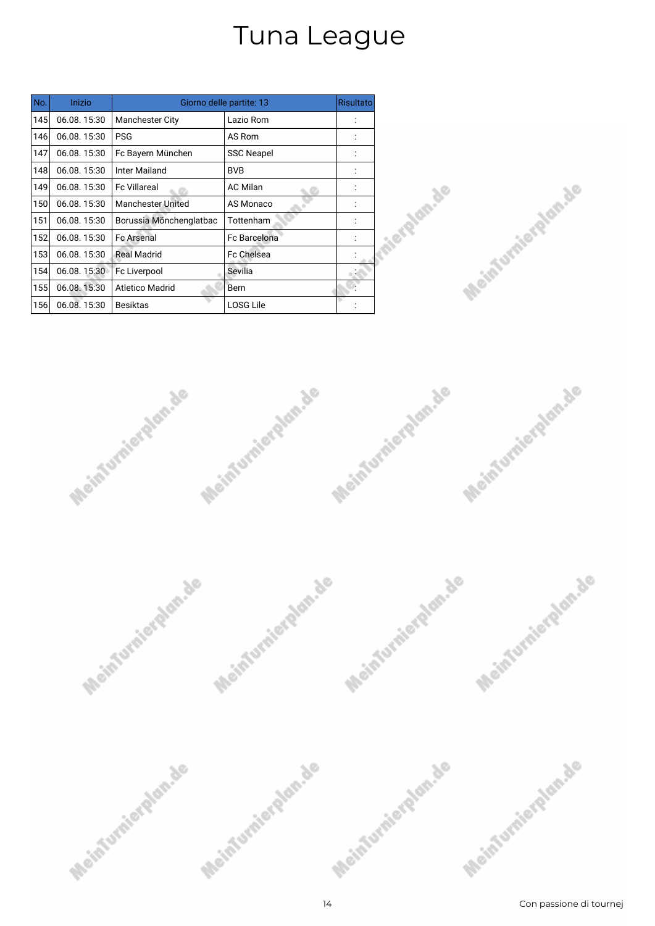| No. | Inizio      |                          | Giorno delle partite: 13 | <b>Risultato</b> |
|-----|-------------|--------------------------|--------------------------|------------------|
| 145 | 06.08.15:30 | <b>Manchester City</b>   | Lazio Rom                |                  |
| 146 | 06.08.15:30 | <b>PSG</b>               | AS Rom                   |                  |
| 147 | 06.08.15:30 | Fc Bayern München        | <b>SSC Neapel</b>        |                  |
| 148 | 06.08.15:30 | Inter Mailand            | <b>BVB</b>               |                  |
| 149 | 06.08.15:30 | <b>Fc Villareal</b>      | <b>AC Milan</b>          |                  |
| 150 | 06.08.15:30 | <b>Manchester United</b> | AS Monaco                |                  |
| 151 | 06.08.15:30 | Borussia Mönchenglatbac  | Tottenham                |                  |
| 152 | 06.08.15:30 | <b>Fc Arsenal</b>        | <b>Fc Barcelona</b>      |                  |
| 153 | 06.08.15:30 | <b>Real Madrid</b>       | Fc Chelsea               |                  |
| 154 | 06.08.15:30 | Fc Liverpool             | Sevilia                  |                  |
| 155 | 06.08.15:30 | <b>Atletico Madrid</b>   | Bern                     |                  |
| 156 | 06.08.15:30 | <b>Besiktas</b>          | <b>LOSG Lile</b>         |                  |







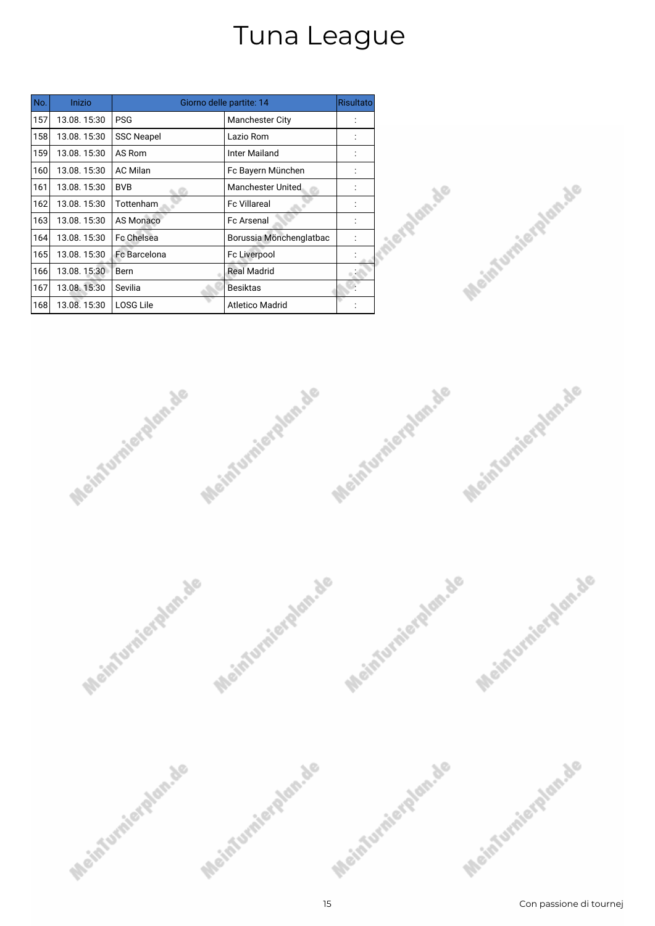| No. | Inizio      |                   | Giorno delle partite: 14 | <b>Risultato</b> |
|-----|-------------|-------------------|--------------------------|------------------|
| 157 | 13.08.15:30 | <b>PSG</b>        | <b>Manchester City</b>   |                  |
| 158 | 13.08.15:30 | <b>SSC Neapel</b> | Lazio Rom                |                  |
| 159 | 13.08.15:30 | AS Rom            | Inter Mailand            |                  |
| 160 | 13.08.15:30 | <b>AC Milan</b>   | Fc Bayern München        |                  |
| 161 | 13.08.15:30 | <b>BVB</b>        | <b>Manchester United</b> |                  |
| 162 | 13.08.15:30 | Tottenham         | <b>Fc Villareal</b>      |                  |
| 163 | 13.08.15:30 | <b>AS Monaco</b>  | <b>Fc Arsenal</b>        |                  |
| 164 | 13.08.15:30 | Fc Chelsea        | Borussia Mönchenglatbac  |                  |
| 165 | 13.08.15:30 | Fc Barcelona      | Fc Liverpool             |                  |
| 166 | 13.08.15:30 | Bern              | <b>Real Madrid</b>       |                  |
| 167 | 13.08.15:30 | Sevilia           | <b>Besiktas</b>          |                  |
| 168 | 13.08.15:30 | <b>LOSG Lile</b>  | <b>Atletico Madrid</b>   |                  |







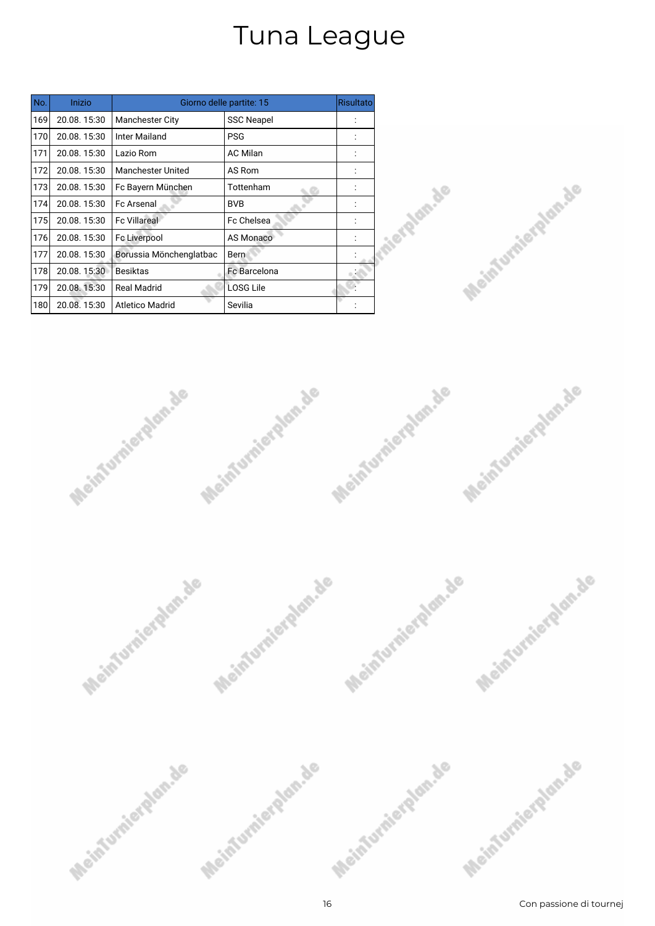| No. | Inizio      |                          | Giorno delle partite: 15 | <b>Risultato</b> |
|-----|-------------|--------------------------|--------------------------|------------------|
| 169 | 20.08.15:30 | <b>Manchester City</b>   | <b>SSC Neapel</b>        |                  |
| 170 | 20.08.15:30 | <b>Inter Mailand</b>     | <b>PSG</b>               |                  |
| 171 | 20.08.15:30 | Lazio Rom                | <b>AC Milan</b>          |                  |
| 172 | 20.08.15:30 | <b>Manchester United</b> | AS Rom                   |                  |
| 173 | 20.08.15:30 | Fc Bayern München        | Tottenham                |                  |
| 174 | 20.08.15:30 | <b>Fc Arsenal</b>        | <b>BVB</b>               |                  |
| 175 | 20.08.15:30 | <b>Fc Villareal</b>      | Fc Chelsea               |                  |
| 176 | 20.08.15:30 | Fc Liverpool             | <b>AS Monaco</b>         |                  |
| 177 | 20.08.15:30 | Borussia Mönchenglatbac  | Bern                     |                  |
| 178 | 20.08.15:30 | <b>Besiktas</b>          | <b>Fc Barcelona</b>      |                  |
| 179 | 20.08.15:30 | <b>Real Madrid</b>       | LOSG Lile                |                  |
| 180 | 20.08.15:30 | <b>Atletico Madrid</b>   | Sevilia                  |                  |







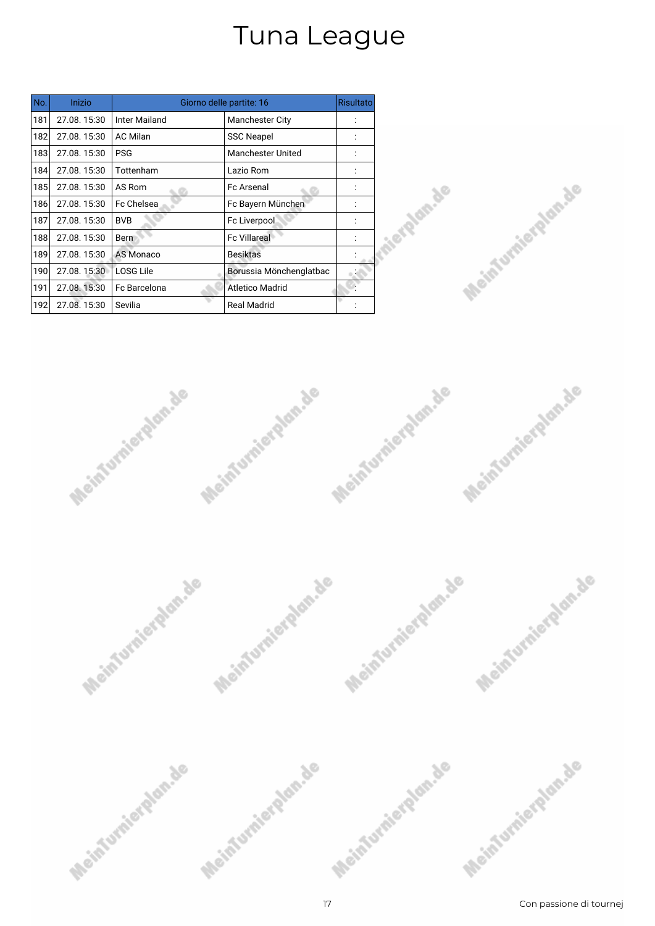| No. | Inizio      |                      | Giorno delle partite: 16 | Risultato |
|-----|-------------|----------------------|--------------------------|-----------|
| 181 | 27.08.15:30 | <b>Inter Mailand</b> | <b>Manchester City</b>   |           |
| 182 | 27.08.15:30 | <b>AC Milan</b>      | <b>SSC Neapel</b>        |           |
| 183 | 27.08.15:30 | <b>PSG</b>           | <b>Manchester United</b> |           |
| 184 | 27.08.15:30 | Tottenham            | Lazio Rom                |           |
| 185 | 27.08.15:30 | AS Rom               | <b>Fc Arsenal</b>        |           |
| 186 | 27.08.15:30 | Fc Chelsea           | Fc Bayern München        |           |
| 187 | 27.08.15:30 | <b>BVB</b>           | Fc Liverpool             |           |
| 188 | 27.08.15:30 | Bern                 | <b>Fc Villareal</b>      |           |
| 189 | 27.08.15:30 | AS Monaco            | <b>Besiktas</b>          |           |
| 190 | 27.08.15:30 | <b>LOSG Lile</b>     | Borussia Mönchenglatbac  |           |
| 191 | 27.08.15:30 | Fc Barcelona         | Atletico Madrid          |           |
| 192 | 27.08.15:30 | Sevilia              | <b>Real Madrid</b>       |           |







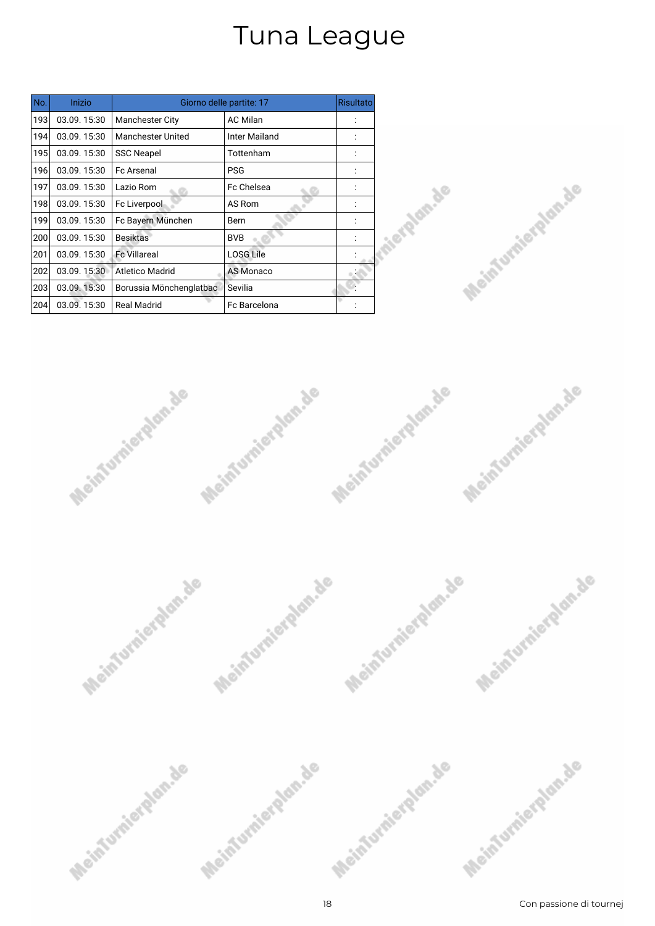| No. | Inizio      |                          | Giorno delle partite: 17 | <b>Risultato</b> |
|-----|-------------|--------------------------|--------------------------|------------------|
| 193 | 03.09.15:30 | <b>Manchester City</b>   | <b>AC Milan</b>          |                  |
| 194 | 03.09.15:30 | <b>Manchester United</b> | <b>Inter Mailand</b>     |                  |
| 195 | 03.09.15:30 | <b>SSC Neapel</b>        | Tottenham                |                  |
| 196 | 03.09.15:30 | <b>Fc Arsenal</b>        | <b>PSG</b>               |                  |
| 197 | 03.09.15:30 | Lazio Rom                | Fc Chelsea               |                  |
| 198 | 03.09.15:30 | Fc Liverpool             | AS Rom                   |                  |
| 199 | 03.09.15:30 | Fc Bayern München        | Bern                     |                  |
| 200 | 03.09.15:30 | <b>Besiktas</b>          | <b>BVB</b>               |                  |
| 201 | 03.09.15:30 | <b>Fc Villareal</b>      | <b>LOSG Lile</b>         |                  |
| 202 | 03.09.15:30 | <b>Atletico Madrid</b>   | <b>AS Monaco</b>         |                  |
| 203 | 03.09.15:30 | Borussia Mönchenglatbac  | Sevilia                  |                  |
| 204 | 03.09.15:30 | <b>Real Madrid</b>       | <b>Fc Barcelona</b>      |                  |







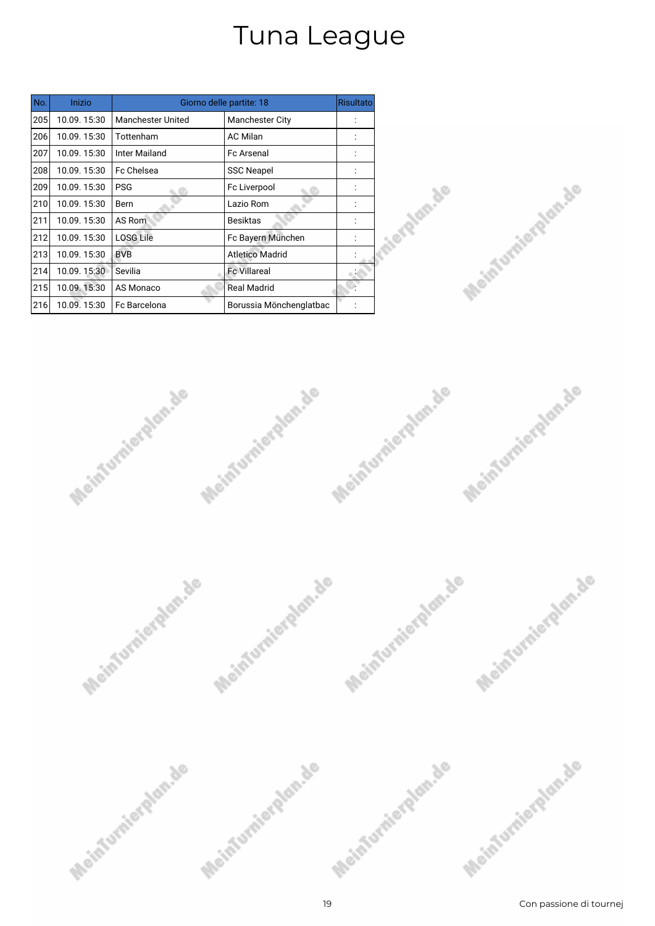| No. | Inizio      |                          | Giorno delle partite: 18 | <b>Risultato</b> |
|-----|-------------|--------------------------|--------------------------|------------------|
| 205 | 10.09.15:30 | <b>Manchester United</b> | <b>Manchester City</b>   |                  |
| 206 | 10.09.15:30 | Tottenham                | <b>AC Milan</b>          |                  |
| 207 | 10.09.15:30 | Inter Mailand            | <b>Fc Arsenal</b>        |                  |
| 208 | 10.09.15:30 | Fc Chelsea               | <b>SSC Neapel</b>        |                  |
| 209 | 10.09.15:30 | <b>PSG</b>               | Fc Liverpool             |                  |
| 210 | 10.09.15:30 | Bern                     | Lazio Rom                |                  |
| 211 | 10.09.15:30 | AS Rom                   | <b>Besiktas</b>          |                  |
| 212 | 10.09.15:30 | <b>LOSG Lile</b>         | Fc Bayern München        |                  |
| 213 | 10.09.15:30 | <b>BVB</b>               | Atletico Madrid          |                  |
| 214 | 10.09.15:30 | Sevilia                  | <b>Fc Villareal</b>      |                  |
| 215 | 10.09.15:30 | AS Monaco                | <b>Real Madrid</b>       |                  |
| 216 | 10.09.15:30 | Fc Barcelona             | Borussia Mönchenglatbac  |                  |







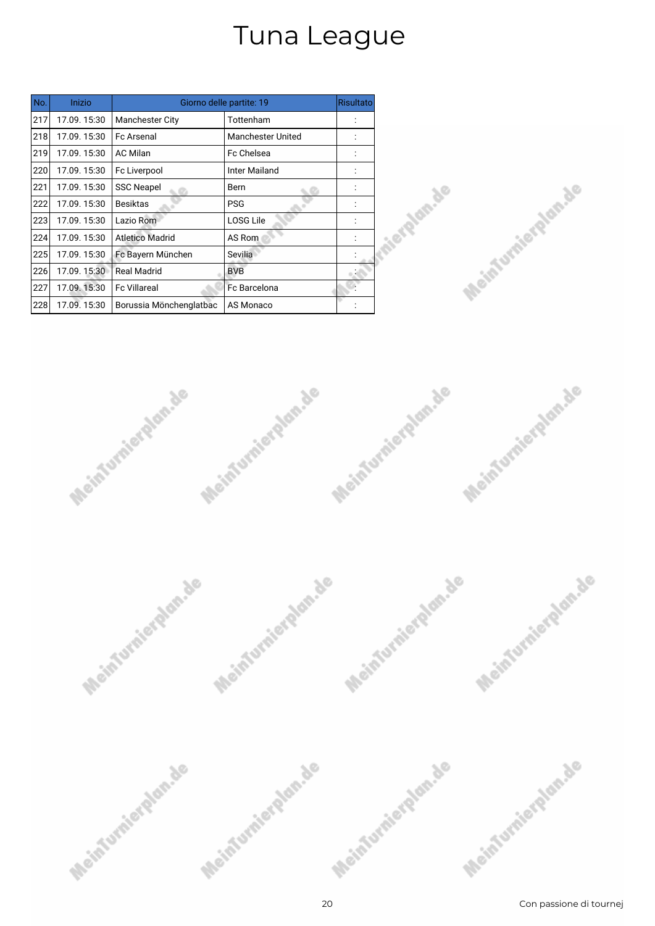| No. | Inizio      |                         | Giorno delle partite: 19 | Risultato |
|-----|-------------|-------------------------|--------------------------|-----------|
| 217 | 17.09.15:30 | <b>Manchester City</b>  | Tottenham                |           |
| 218 | 17.09.15:30 | <b>Fc Arsenal</b>       | <b>Manchester United</b> |           |
| 219 | 17.09.15:30 | <b>AC Milan</b>         | <b>Fc Chelsea</b>        |           |
| 220 | 17.09.15:30 | Fc Liverpool            | Inter Mailand            |           |
| 221 | 17.09.15:30 | <b>SSC Neapel</b>       | Bern                     |           |
| 222 | 17.09.15:30 | <b>Besiktas</b>         | <b>PSG</b>               |           |
| 223 | 17.09.15:30 | Lazio Rom               | <b>LOSG Lile</b>         |           |
| 224 | 17.09.15:30 | <b>Atletico Madrid</b>  | AS Rom                   |           |
| 225 | 17.09.15:30 | Fc Bayern München       | Sevilia                  |           |
| 226 | 17.09.15:30 | <b>Real Madrid</b>      | <b>BVB</b>               |           |
| 227 | 17.09.15:30 | <b>Fc Villareal</b>     | Fc Barcelona             |           |
| 228 | 17.09.15:30 | Borussia Mönchenglatbac | AS Monaco                |           |







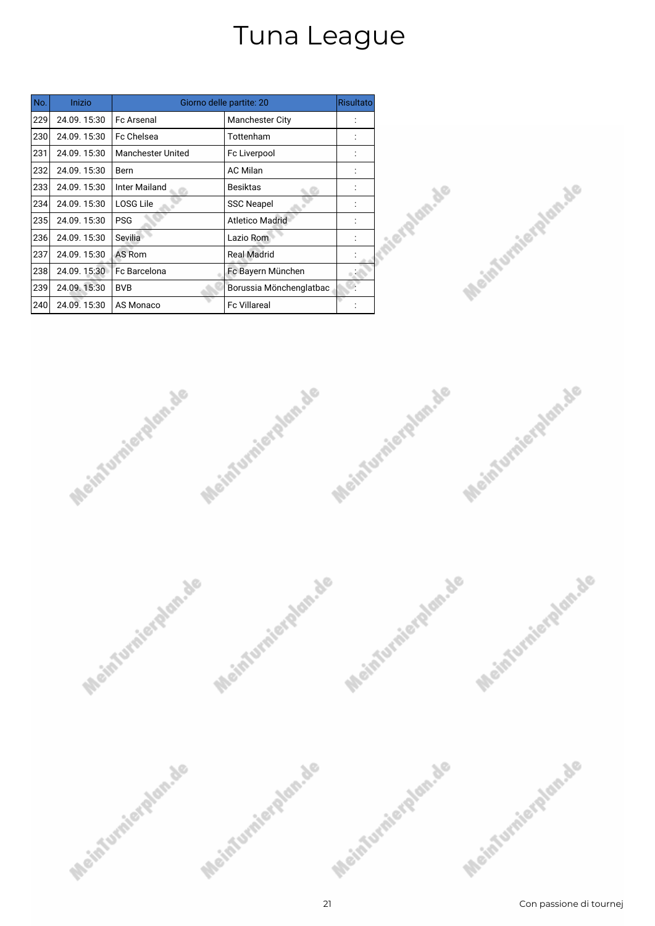| No. | Inizio      |                          | Giorno delle partite: 20 | Risultato |
|-----|-------------|--------------------------|--------------------------|-----------|
| 229 | 24.09.15:30 | <b>Fc Arsenal</b>        | <b>Manchester City</b>   |           |
| 230 | 24.09.15:30 | Fc Chelsea               | Tottenham                |           |
| 231 | 24.09.15:30 | <b>Manchester United</b> | Fc Liverpool             |           |
| 232 | 24.09.15:30 | Bern                     | <b>AC Milan</b>          |           |
| 233 | 24.09.15:30 | Inter Mailand            | <b>Besiktas</b>          |           |
| 234 | 24.09.15:30 | LOSG Lile                | <b>SSC Neapel</b>        |           |
| 235 | 24.09.15:30 | <b>PSG</b>               | <b>Atletico Madrid</b>   |           |
| 236 | 24.09.15:30 | Sevilia                  | Lazio Rom                |           |
| 237 | 24.09.15:30 | AS Rom                   | <b>Real Madrid</b>       |           |
| 238 | 24.09.15:30 | Fc Barcelona             | Fc Bayern München        |           |
| 239 | 24.09.15:30 | <b>BVB</b>               | Borussia Mönchenglatbac  |           |
| 240 | 24.09.15:30 | AS Monaco                | <b>Fc Villareal</b>      |           |







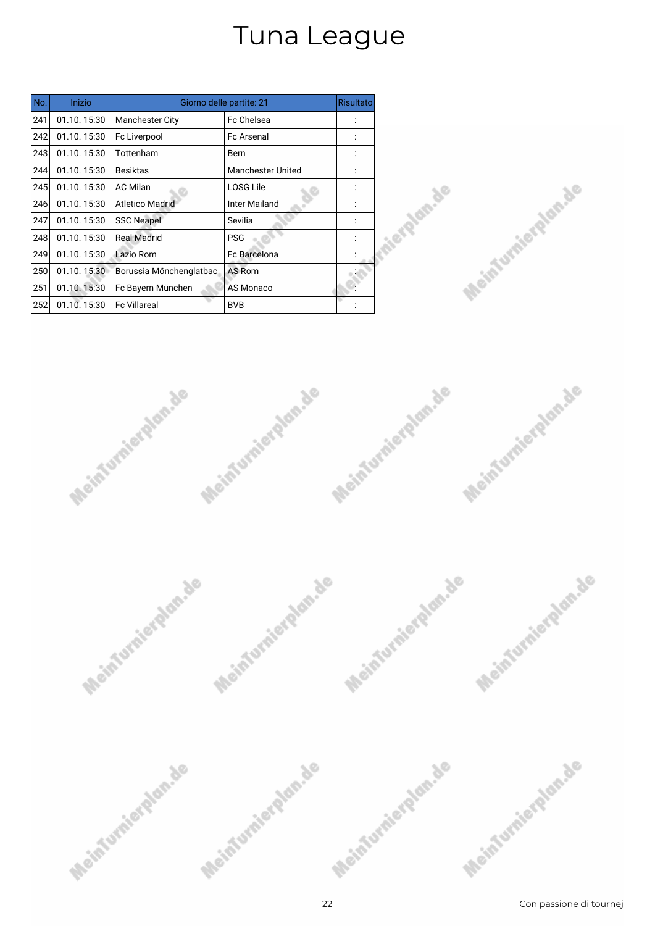| No. | Inizio      |                         | Giorno delle partite: 21 | <b>Risultato</b> |
|-----|-------------|-------------------------|--------------------------|------------------|
| 241 | 01.10.15:30 | <b>Manchester City</b>  | <b>Fc Chelsea</b>        |                  |
| 242 | 01.10.15:30 | Fc Liverpool            | <b>Fc Arsenal</b>        |                  |
| 243 | 01.10.15:30 | Tottenham               | Bern                     |                  |
| 244 | 01.10.15:30 | <b>Besiktas</b>         | <b>Manchester United</b> |                  |
| 245 | 01.10.15:30 | <b>AC Milan</b>         | <b>LOSG Lile</b>         |                  |
| 246 | 01.10.15:30 | <b>Atletico Madrid</b>  | <b>Inter Mailand</b>     |                  |
| 247 | 01.10.15:30 | <b>SSC Neapel</b>       | Sevilia                  |                  |
| 248 | 01.10.15:30 | <b>Real Madrid</b>      | <b>PSG</b>               |                  |
| 249 | 01.10.15:30 | Lazio Rom               | Fc Barcelona             |                  |
| 250 | 01.10.15:30 | Borussia Mönchenglatbac | AS Rom                   |                  |
| 251 | 01.10.15:30 | Fc Bayern München       | AS Monaco                |                  |
| 252 | 01.10.15:30 | <b>Fc Villareal</b>     | <b>BVB</b>               |                  |







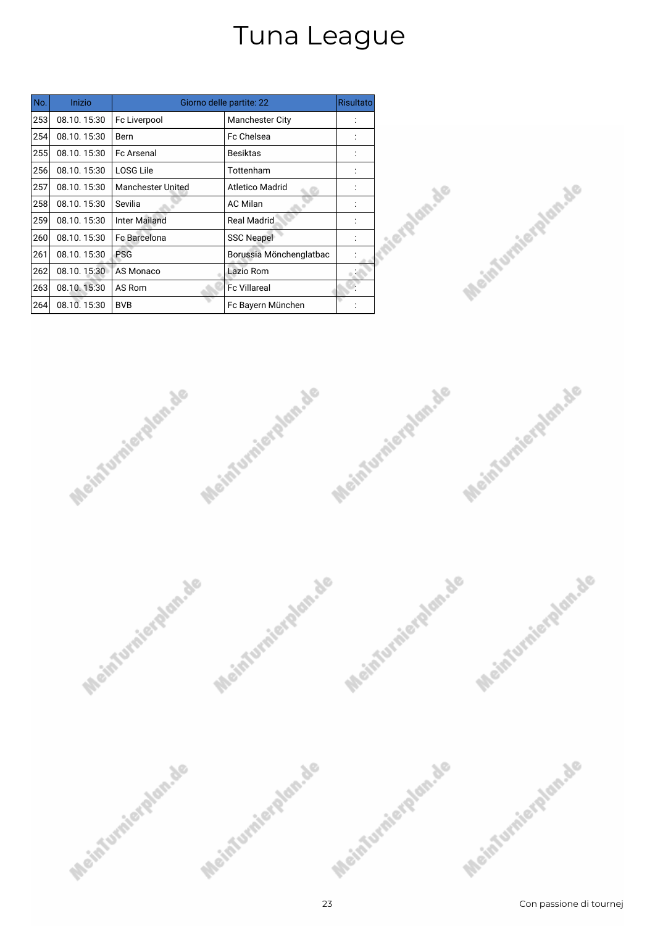| No. | Inizio      |                          | Giorno delle partite: 22 | <b>Risultato</b> |
|-----|-------------|--------------------------|--------------------------|------------------|
| 253 | 08.10.15:30 | Fc Liverpool             | <b>Manchester City</b>   |                  |
| 254 | 08.10.15:30 | Bern                     | Fc Chelsea               |                  |
| 255 | 08.10.15:30 | <b>Fc Arsenal</b>        | Besiktas                 |                  |
| 256 | 08.10.15:30 | <b>LOSG Lile</b>         | Tottenham                |                  |
| 257 | 08.10.15:30 | <b>Manchester United</b> | Atletico Madrid          |                  |
| 258 | 08.10.15:30 | Sevilia                  | <b>AC Milan</b>          |                  |
| 259 | 08.10.15:30 | <b>Inter Mailand</b>     | <b>Real Madrid</b>       |                  |
| 260 | 08.10.15:30 | <b>Fc Barcelona</b>      | <b>SSC Neapel</b>        |                  |
| 261 | 08.10.15:30 | <b>PSG</b>               | Borussia Mönchenglatbac  |                  |
| 262 | 08.10.15:30 | AS Monaco                | Lazio Rom                |                  |
| 263 | 08.10.15:30 | AS Rom                   | <b>Fc Villareal</b>      |                  |
| 264 | 08.10.15:30 | <b>BVB</b>               | Fc Bayern München        |                  |







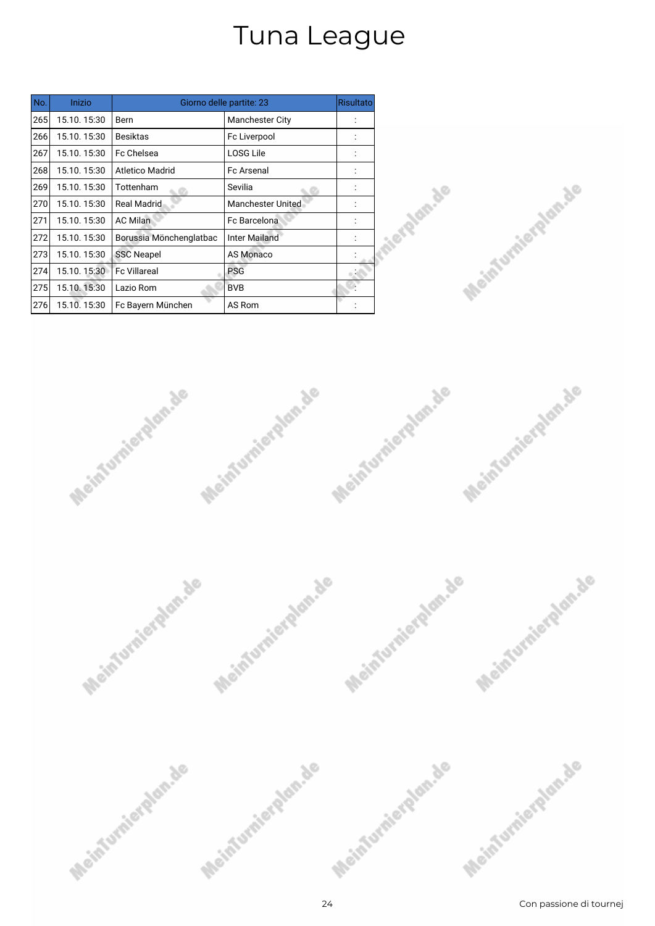| No. | Inizio      |                         | Giorno delle partite: 23 | Risultato |
|-----|-------------|-------------------------|--------------------------|-----------|
| 265 | 15.10.15:30 | Bern                    | <b>Manchester City</b>   |           |
| 266 | 15.10.15:30 | <b>Besiktas</b>         | Fc Liverpool             |           |
| 267 | 15.10.15:30 | <b>Fc Chelsea</b>       | <b>LOSG Lile</b>         |           |
| 268 | 15.10.15:30 | Atletico Madrid         | <b>Fc Arsenal</b>        |           |
| 269 | 15.10.15:30 | Tottenham               | Sevilia                  |           |
| 270 | 15.10.15:30 | <b>Real Madrid</b>      | <b>Manchester United</b> |           |
| 271 | 15.10.15:30 | <b>AC Milan</b>         | Fc Barcelona             |           |
| 272 | 15.10.15:30 | Borussia Mönchenglatbac | <b>Inter Mailand</b>     |           |
| 273 | 15.10.15:30 | <b>SSC Neapel</b>       | <b>AS Monaco</b>         |           |
| 274 | 15.10.15:30 | <b>Fc Villareal</b>     | <b>PSG</b>               |           |
| 275 | 15.10.15:30 | Lazio Rom               | <b>BVB</b>               |           |
| 276 | 15.10.15:30 | Fc Bayern München       | AS Rom                   |           |







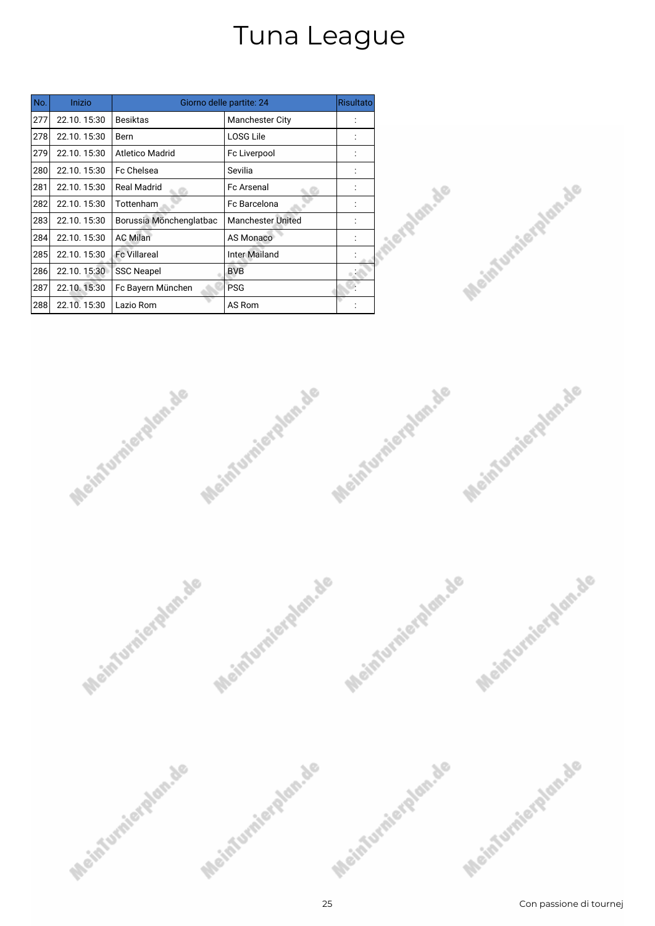| No. | Inizio      |                         | Giorno delle partite: 24 | <b>Risultato</b> |
|-----|-------------|-------------------------|--------------------------|------------------|
| 277 | 22.10.15:30 | <b>Besiktas</b>         | <b>Manchester City</b>   |                  |
| 278 | 22.10.15:30 | Bern                    | <b>LOSG Lile</b>         |                  |
| 279 | 22.10.15:30 | <b>Atletico Madrid</b>  | Fc Liverpool             |                  |
| 280 | 22.10.15:30 | Fc Chelsea              | Sevilia                  |                  |
| 281 | 22.10.15:30 | Real Madrid             | <b>Fc Arsenal</b>        |                  |
| 282 | 22.10.15:30 | Tottenham               | Fc Barcelona             |                  |
| 283 | 22.10.15:30 | Borussia Mönchenglatbac | <b>Manchester United</b> |                  |
| 284 | 22.10.15:30 | <b>AC Milan</b>         | <b>AS Monaco</b>         |                  |
| 285 | 22.10.15:30 | <b>Fc Villareal</b>     | <b>Inter Mailand</b>     |                  |
| 286 | 22.10.15:30 | <b>SSC Neapel</b>       | <b>BVB</b>               |                  |
| 287 | 22.10.15:30 | Fc Bayern München       | <b>PSG</b>               |                  |
| 288 | 22.10.15:30 | Lazio Rom               | AS Rom                   |                  |







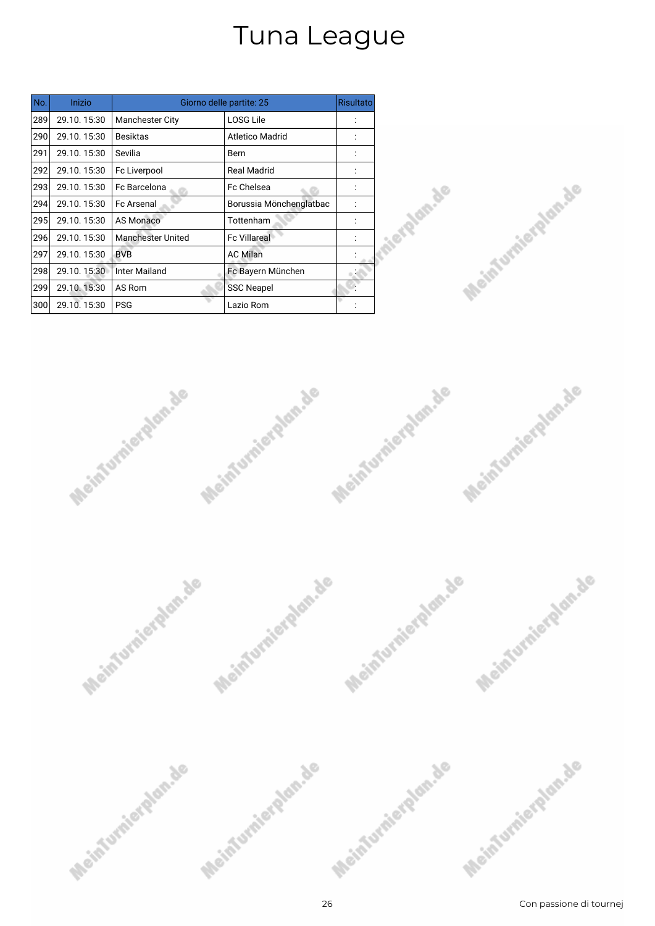| No. | Inizio      |                          | Giorno delle partite: 25 | <b>Risultato</b> |
|-----|-------------|--------------------------|--------------------------|------------------|
| 289 | 29.10.15:30 | <b>Manchester City</b>   | LOSG Lile                |                  |
| 290 | 29.10.15:30 | <b>Besiktas</b>          | <b>Atletico Madrid</b>   |                  |
| 291 | 29.10.15:30 | Sevilia                  | Bern                     |                  |
| 292 | 29.10.15:30 | Fc Liverpool             | <b>Real Madrid</b>       |                  |
| 293 | 29.10.15:30 | Fc Barcelona             | Fc Chelsea               |                  |
| 294 | 29.10.15:30 | <b>Fc Arsenal</b>        | Borussia Mönchenglatbac  |                  |
| 295 | 29.10.15:30 | <b>AS Monaco</b>         | Tottenham                |                  |
| 296 | 29.10.15:30 | <b>Manchester United</b> | <b>Fc Villareal</b>      |                  |
| 297 | 29.10.15:30 | <b>BVB</b>               | <b>AC Milan</b>          |                  |
| 298 | 29.10.15:30 | Inter Mailand            | Fc Bayern München        |                  |
| 299 | 29.10.15:30 | AS Rom                   | <b>SSC Neapel</b>        |                  |
| 300 | 29.10.15:30 | <b>PSG</b>               | Lazio Rom                |                  |







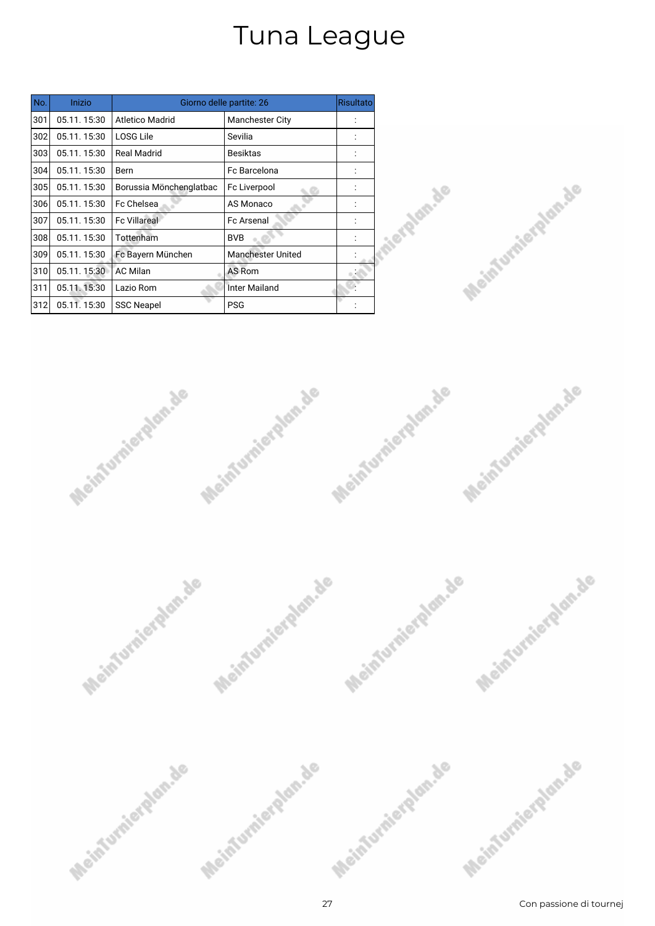| No. | Inizio      |                         | Giorno delle partite: 26 | <b>Risultato</b> |
|-----|-------------|-------------------------|--------------------------|------------------|
| 301 | 05.11.15:30 | <b>Atletico Madrid</b>  | <b>Manchester City</b>   |                  |
| 302 | 05.11.15:30 | LOSG Lile               | Sevilia                  |                  |
| 303 | 05.11.15:30 | <b>Real Madrid</b>      | <b>Besiktas</b>          |                  |
| 304 | 05.11.15:30 | Bern                    | Fc Barcelona             |                  |
| 305 | 05.11.15:30 | Borussia Mönchenglatbac | Fc Liverpool             |                  |
| 306 | 05.11.15:30 | Fc Chelsea              | AS Monaco                |                  |
| 307 | 05.11.15:30 | <b>Fc Villareal</b>     | <b>Fc Arsenal</b>        |                  |
| 308 | 05.11.15:30 | Tottenham               | <b>BVB</b>               |                  |
| 309 | 05.11.15:30 | Fc Bayern München       | <b>Manchester United</b> |                  |
| 310 | 05.11.15:30 | <b>AC Milan</b>         | AS Rom                   |                  |
| 311 | 05.11.15:30 | Lazio Rom               | Inter Mailand            |                  |
| 312 | 05.11.15:30 | <b>SSC Neapel</b>       | <b>PSG</b>               |                  |







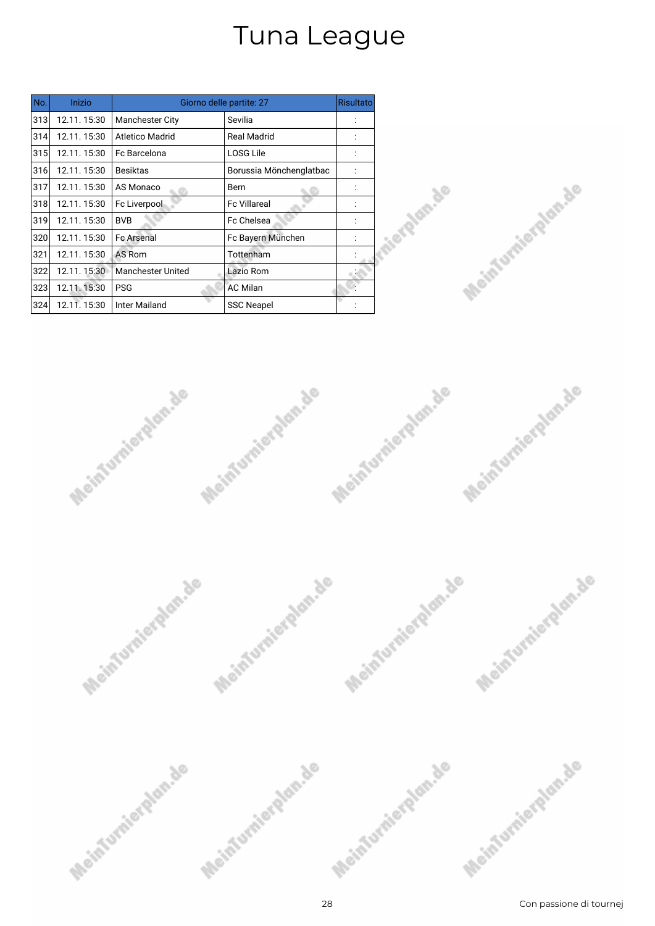| No. | Inizio      |                          | Giorno delle partite: 27 | <b>Risultato</b> |
|-----|-------------|--------------------------|--------------------------|------------------|
| 313 | 12.11.15:30 | <b>Manchester City</b>   | Sevilia                  |                  |
| 314 | 12.11.15:30 | <b>Atletico Madrid</b>   | <b>Real Madrid</b>       |                  |
| 315 | 12.11.15:30 | Fc Barcelona             | <b>LOSG Lile</b>         |                  |
| 316 | 12.11.15:30 | <b>Besiktas</b>          | Borussia Mönchenglatbac  |                  |
| 317 | 12.11.15:30 | AS Monaco                | Bern                     |                  |
| 318 | 12.11.15:30 | Fc Liverpool             | <b>Fc Villareal</b>      |                  |
| 319 | 12.11.15:30 | <b>BVB</b>               | <b>Fc Chelsea</b>        |                  |
| 320 | 12.11.15:30 | <b>Fc Arsenal</b>        | Fc Bayern München        |                  |
| 321 | 12.11.15:30 | AS Rom                   | Tottenham                |                  |
| 322 | 12.11.15:30 | <b>Manchester United</b> | Lazio Rom                |                  |
| 323 | 12.11.15:30 | <b>PSG</b>               | <b>AC Milan</b>          |                  |
| 324 | 12.11.15:30 | <b>Inter Mailand</b>     | <b>SSC Neapel</b>        |                  |







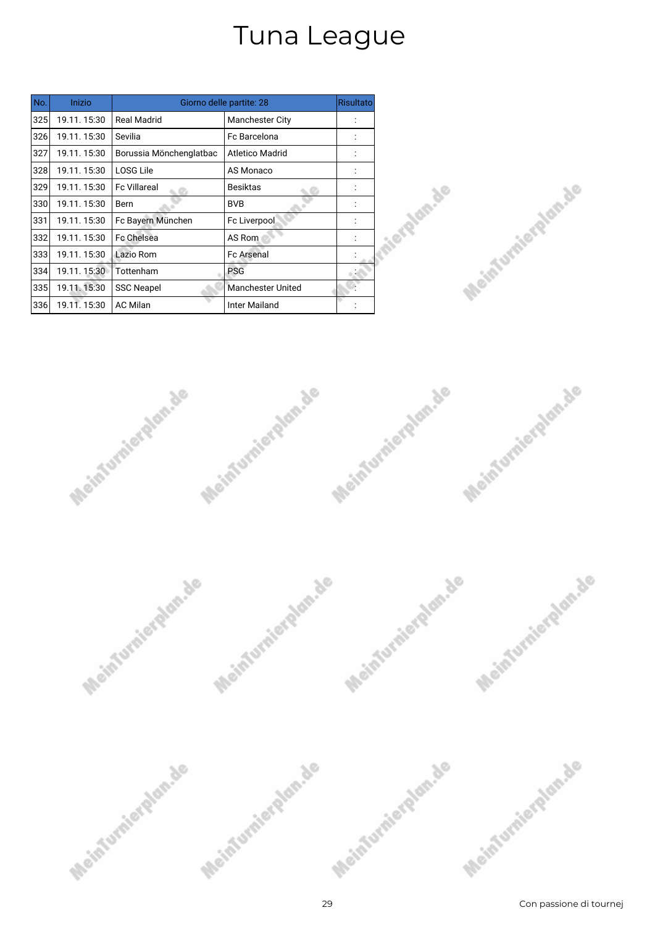| No. | Inizio      |                         | Giorno delle partite: 28 | <b>Risultato</b> |
|-----|-------------|-------------------------|--------------------------|------------------|
| 325 | 19.11.15:30 | <b>Real Madrid</b>      | <b>Manchester City</b>   |                  |
| 326 | 19.11.15:30 | Sevilia                 | <b>Fc Barcelona</b>      |                  |
| 327 | 19.11.15:30 | Borussia Mönchenglatbac | Atletico Madrid          |                  |
| 328 | 19.11.15:30 | LOSG Lile               | AS Monaco                |                  |
| 329 | 19.11.15:30 | <b>Fc Villareal</b>     | Besiktas                 |                  |
| 330 | 19.11.15:30 | Bern                    | <b>BVB</b>               |                  |
| 331 | 19.11.15:30 | Fc Bayern München       | Fc Liverpool             |                  |
| 332 | 19.11.15:30 | Fc Chelsea              | AS Rom                   |                  |
| 333 | 19.11.15:30 | Lazio Rom               | <b>Fc Arsenal</b>        |                  |
| 334 | 19.11.15:30 | Tottenham               | <b>PSG</b>               |                  |
| 335 | 19.11.15:30 | <b>SSC Neapel</b>       | <b>Manchester United</b> |                  |
| 336 | 19.11.15:30 | <b>AC Milan</b>         | Inter Mailand            |                  |







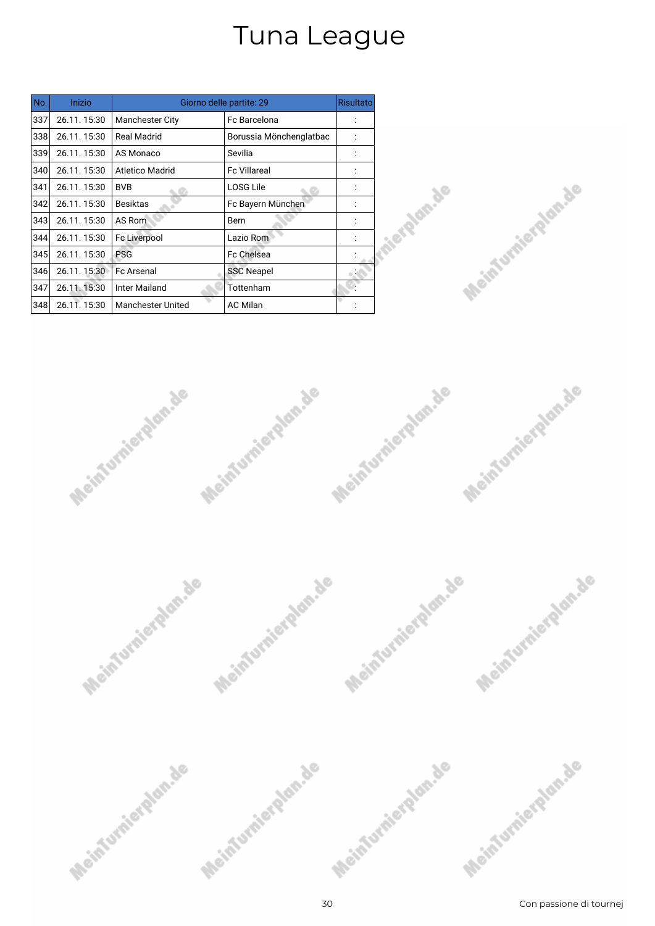| No. | Inizio      |                          | Giorno delle partite: 29 | <b>Risultato</b> |
|-----|-------------|--------------------------|--------------------------|------------------|
| 337 | 26.11.15:30 | <b>Manchester City</b>   | Fc Barcelona             |                  |
| 338 | 26.11.15:30 | <b>Real Madrid</b>       | Borussia Mönchenglatbac  |                  |
| 339 | 26.11.15:30 | AS Monaco                | Sevilia                  |                  |
| 340 | 26.11.15:30 | <b>Atletico Madrid</b>   | <b>Fc Villareal</b>      |                  |
| 341 | 26.11.15:30 | <b>BVB</b>               | LOSG Lile                |                  |
| 342 | 26.11.15:30 | <b>Besiktas</b>          | Fc Bayern München        |                  |
| 343 | 26.11.15:30 | AS Rom                   | Bern                     |                  |
| 344 | 26.11.15:30 | Fc Liverpool             | Lazio Rom                |                  |
| 345 | 26.11.15:30 | <b>PSG</b>               | Fc Chelsea               |                  |
| 346 | 26.11.15:30 | <b>Fc Arsenal</b>        | <b>SSC Neapel</b>        |                  |
| 347 | 26.11.15:30 | Inter Mailand            | Tottenham                |                  |
| 348 | 26.11.15:30 | <b>Manchester United</b> | <b>AC Milan</b>          |                  |







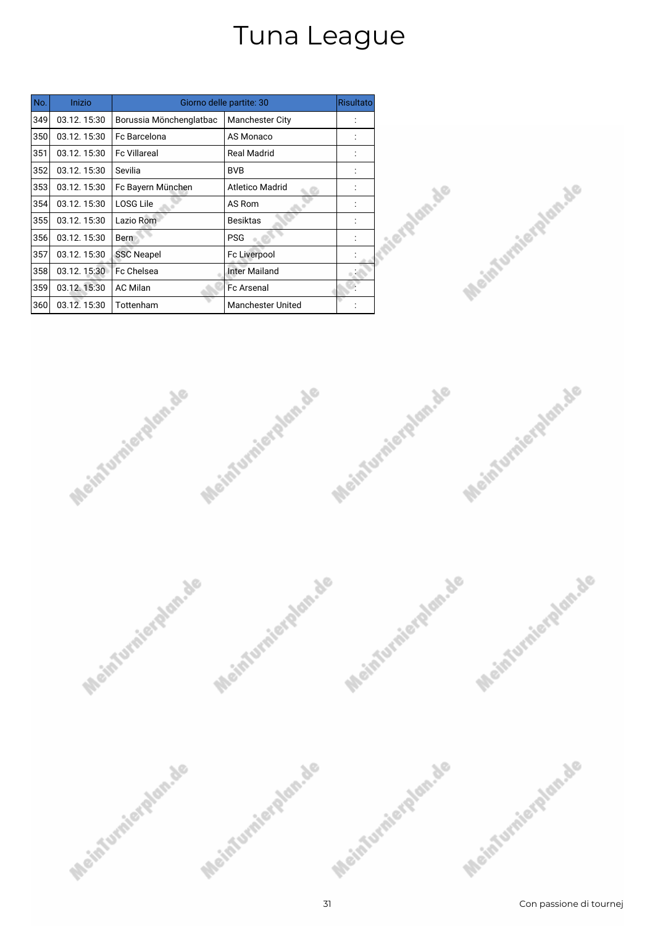| No. | Inizio      |                         | Giorno delle partite: 30 | <b>Risultato</b> |
|-----|-------------|-------------------------|--------------------------|------------------|
| 349 | 03.12.15:30 | Borussia Mönchenglatbac | <b>Manchester City</b>   |                  |
| 350 | 03.12.15:30 | Fc Barcelona            | AS Monaco                |                  |
| 351 | 03.12.15:30 | <b>Fc Villareal</b>     | <b>Real Madrid</b>       |                  |
| 352 | 03.12.15:30 | Sevilia                 | <b>BVB</b>               |                  |
| 353 | 03.12.15:30 | Fc Bayern München       | <b>Atletico Madrid</b>   |                  |
| 354 | 03.12.15:30 | <b>LOSG Lile</b>        | AS Rom                   |                  |
| 355 | 03.12.15:30 | Lazio Rom               | <b>Besiktas</b>          |                  |
| 356 | 03.12.15:30 | <b>Bern</b>             | <b>PSG</b>               |                  |
| 357 | 03.12.15:30 | <b>SSC Neapel</b>       | <b>Fc Liverpool</b>      |                  |
| 358 | 03.12.15:30 | Fc Chelsea              | <b>Inter Mailand</b>     |                  |
| 359 | 03.12.15:30 | <b>AC Milan</b>         | <b>Fc Arsenal</b>        |                  |
| 360 | 03.12.15:30 | Tottenham               | <b>Manchester United</b> |                  |







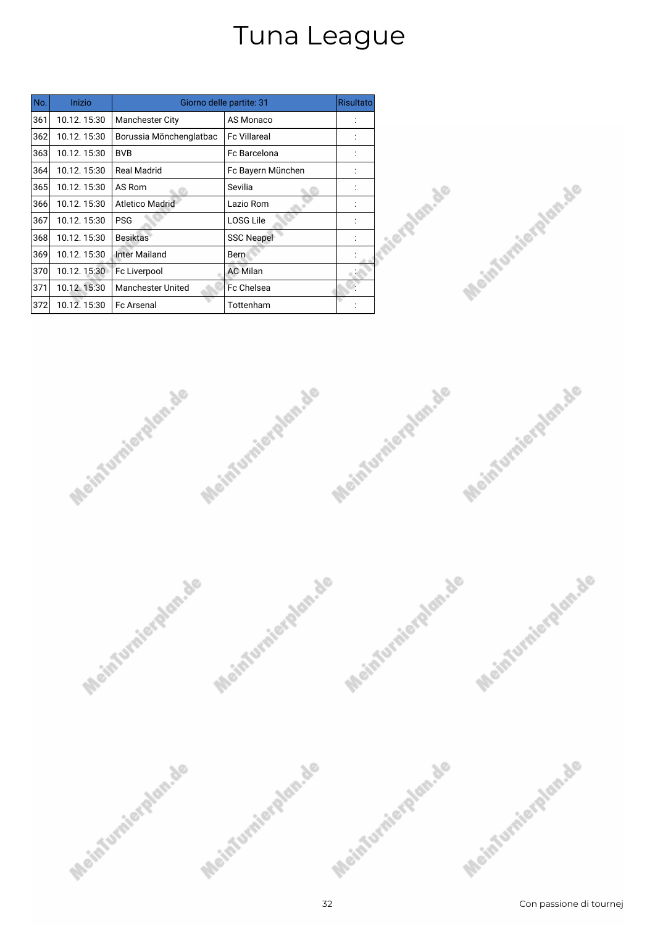| No. | Inizio      |                          | Giorno delle partite: 31 | <b>Risultato</b> |
|-----|-------------|--------------------------|--------------------------|------------------|
| 361 | 10.12.15:30 | <b>Manchester City</b>   | AS Monaco                |                  |
| 362 | 10.12.15:30 | Borussia Mönchenglatbac  | <b>Fc Villareal</b>      |                  |
| 363 | 10.12.15:30 | <b>BVB</b>               | Fc Barcelona             |                  |
| 364 | 10.12.15:30 | Real Madrid              | Fc Bayern München        |                  |
| 365 | 10.12.15:30 | AS Rom                   | Sevilia                  |                  |
| 366 | 10.12.15:30 | <b>Atletico Madrid</b>   | Lazio Rom                |                  |
| 367 | 10.12.15:30 | <b>PSG</b>               | <b>LOSG Lile</b>         |                  |
| 368 | 10.12.15:30 | <b>Besiktas</b>          | <b>SSC Neapel</b>        |                  |
| 369 | 10.12.15:30 | Inter Mailand            | Bern                     |                  |
| 370 | 10.12.15:30 | Fc Liverpool             | <b>AC Milan</b>          |                  |
| 371 | 10.12.15:30 | <b>Manchester United</b> | Fc Chelsea               |                  |
| 372 | 10.12.15:30 | <b>Fc Arsenal</b>        | Tottenham                |                  |







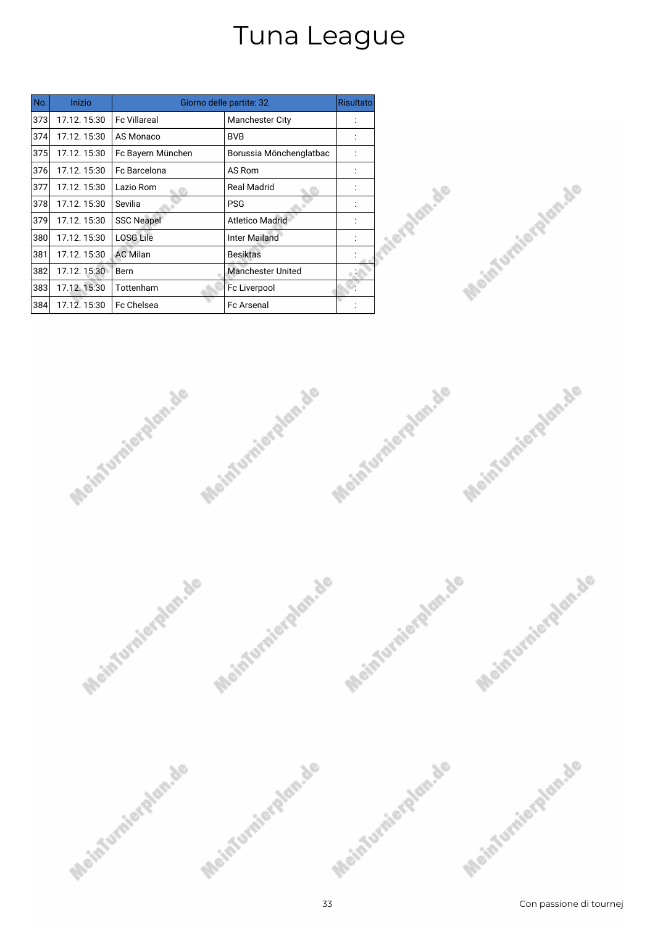| No. | Inizio      |                     | Giorno delle partite: 32 | <b>Risultato</b> |
|-----|-------------|---------------------|--------------------------|------------------|
| 373 | 17.12.15:30 | <b>Fc Villareal</b> | <b>Manchester City</b>   |                  |
| 374 | 17.12.15:30 | AS Monaco           | <b>BVB</b>               |                  |
| 375 | 17.12.15:30 | Fc Bayern München   | Borussia Mönchenglatbac  |                  |
| 376 | 17.12.15:30 | Fc Barcelona        | AS Rom                   |                  |
| 377 | 17.12.15:30 | Lazio Rom           | Real Madrid              |                  |
| 378 | 17.12.15:30 | Sevilia             | <b>PSG</b>               |                  |
| 379 | 17.12.15:30 | <b>SSC Neapel</b>   | <b>Atletico Madrid</b>   |                  |
| 380 | 17.12.15:30 | <b>LOSG Lile</b>    | Inter Mailand            |                  |
| 381 | 17.12.15:30 | <b>AC Milan</b>     | <b>Besiktas</b>          |                  |
| 382 | 17.12.15:30 | Bern                | <b>Manchester United</b> |                  |
| 383 | 17.12.15:30 | Tottenham           | Fc Liverpool             |                  |
| 384 | 17.12.15:30 | <b>Fc Chelsea</b>   | <b>Fc Arsenal</b>        |                  |







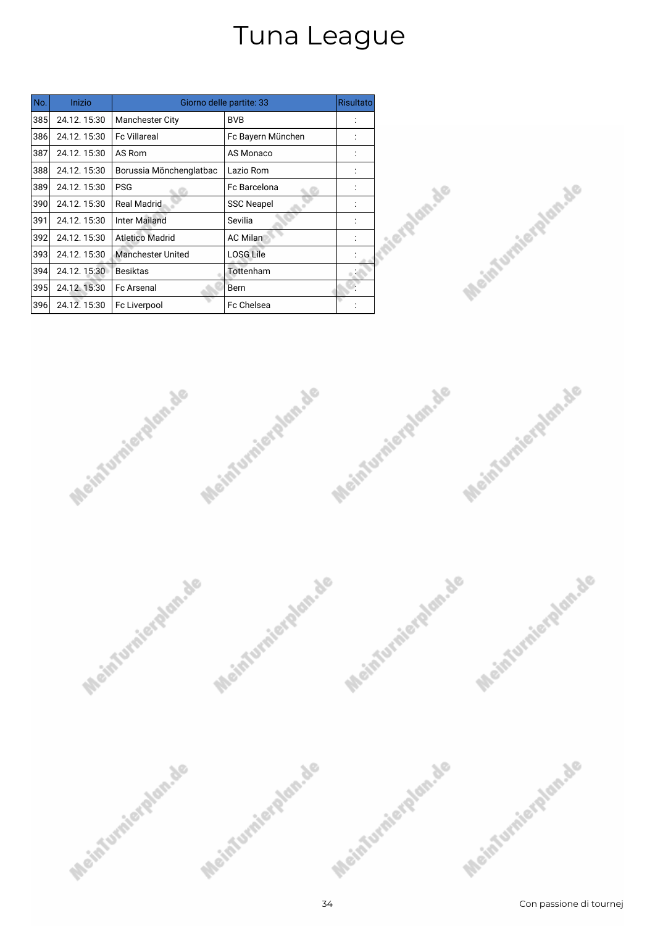| No. | Inizio      |                          | Giorno delle partite: 33 | <b>Risultato</b> |
|-----|-------------|--------------------------|--------------------------|------------------|
| 385 | 24.12.15:30 | <b>Manchester City</b>   | <b>BVB</b>               |                  |
| 386 | 24.12.15:30 | <b>Fc Villareal</b>      | Fc Bayern München        |                  |
| 387 | 24.12.15:30 | AS Rom                   | AS Monaco                |                  |
| 388 | 24.12.15:30 | Borussia Mönchenglatbac  | Lazio Rom                |                  |
| 389 | 24.12.15:30 | <b>PSG</b>               | Fc Barcelona             |                  |
| 390 | 24.12.15:30 | <b>Real Madrid</b>       | <b>SSC Neapel</b>        |                  |
| 391 | 24.12.15:30 | <b>Inter Mailand</b>     | Sevilia                  |                  |
| 392 | 24.12.15:30 | <b>Atletico Madrid</b>   | <b>AC Milan</b>          |                  |
| 393 | 24.12.15:30 | <b>Manchester United</b> | <b>LOSG Lile</b>         |                  |
| 394 | 24.12.15:30 | <b>Besiktas</b>          | Tottenham                |                  |
| 395 | 24.12.15:30 | <b>Fc Arsenal</b>        | Bern                     |                  |
| 396 | 24.12.15:30 | Fc Liverpool             | Fc Chelsea               |                  |







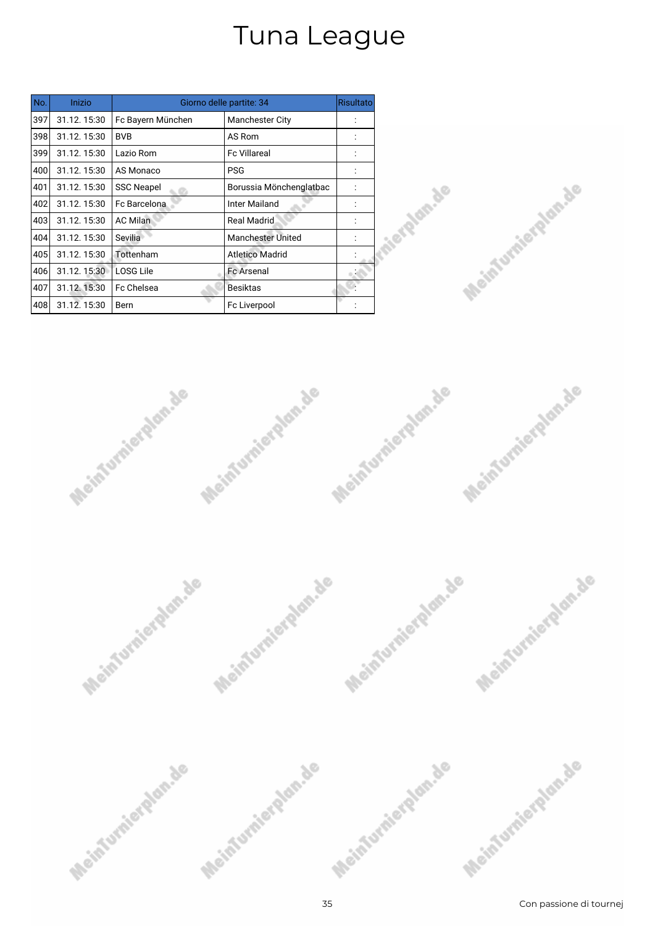| No. | Inizio      |                   | Giorno delle partite: 34 | <b>Risultato</b> |
|-----|-------------|-------------------|--------------------------|------------------|
| 397 | 31.12.15:30 | Fc Bayern München | <b>Manchester City</b>   |                  |
| 398 | 31.12.15:30 | <b>BVB</b>        | AS Rom                   |                  |
| 399 | 31.12.15:30 | Lazio Rom         | <b>Fc Villareal</b>      |                  |
| 400 | 31.12.15:30 | AS Monaco         | <b>PSG</b>               |                  |
| 401 | 31.12.15:30 | <b>SSC Neapel</b> | Borussia Mönchenglatbac  |                  |
| 402 | 31.12.15:30 | Fc Barcelona      | <b>Inter Mailand</b>     |                  |
| 403 | 31.12.15:30 | <b>AC Milan</b>   | <b>Real Madrid</b>       |                  |
| 404 | 31.12.15:30 | Sevilia           | <b>Manchester United</b> |                  |
| 405 | 31.12.15:30 | Tottenham         | <b>Atletico Madrid</b>   |                  |
| 406 | 31.12.15:30 | LOSG Lile         | <b>Fc Arsenal</b>        |                  |
| 407 | 31.12.15:30 | Fc Chelsea        | Besiktas                 |                  |
| 408 | 31.12.15:30 | Bern              | Fc Liverpool             |                  |







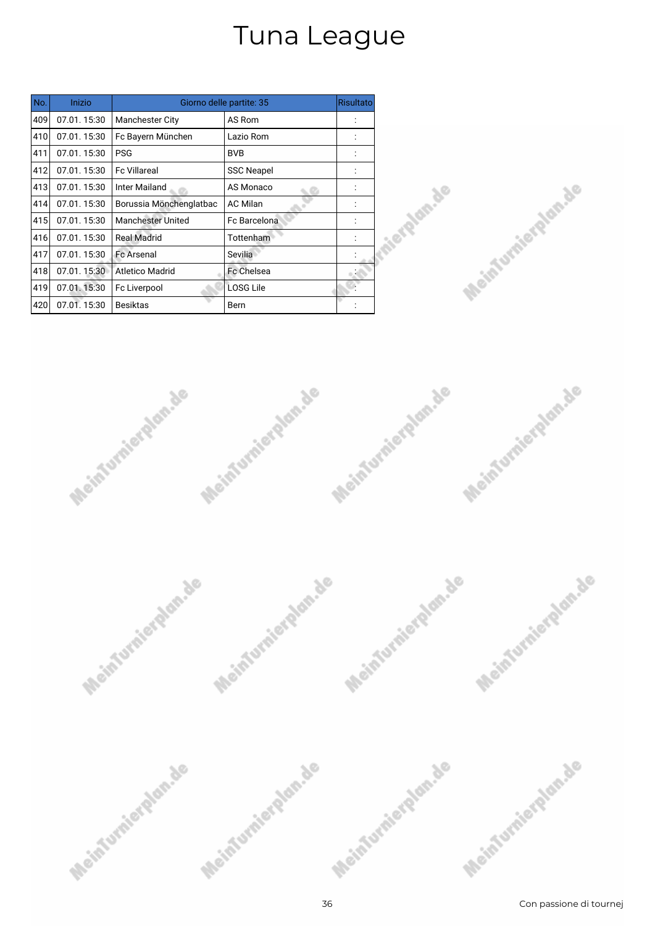| No. | Inizio      |                          | Giorno delle partite: 35 | <b>Risultato</b> |
|-----|-------------|--------------------------|--------------------------|------------------|
| 409 | 07.01.15:30 | <b>Manchester City</b>   | AS Rom                   |                  |
| 410 | 07.01.15:30 | Fc Bayern München        | Lazio Rom                |                  |
| 411 | 07.01.15:30 | <b>PSG</b>               | <b>BVB</b>               |                  |
| 412 | 07.01.15:30 | <b>Fc Villareal</b>      | <b>SSC Neapel</b>        |                  |
| 413 | 07.01.15:30 | Inter Mailand            | AS Monaco                |                  |
| 414 | 07.01.15:30 | Borussia Mönchenglatbac  | <b>AC Milan</b>          |                  |
| 415 | 07.01.15:30 | <b>Manchester United</b> | Fc Barcelona             |                  |
| 416 | 07.01.15:30 | Real Madrid              | Tottenham                |                  |
| 417 | 07.01.15:30 | <b>Fc Arsenal</b>        | Sevilia                  |                  |
| 418 | 07.01.15:30 | Atletico Madrid          | <b>Fc Chelsea</b>        |                  |
| 419 | 07.01.15:30 | Fc Liverpool             | <b>LOSG Lile</b>         |                  |
| 420 | 07.01.15:30 | <b>Besiktas</b>          | Bern                     |                  |







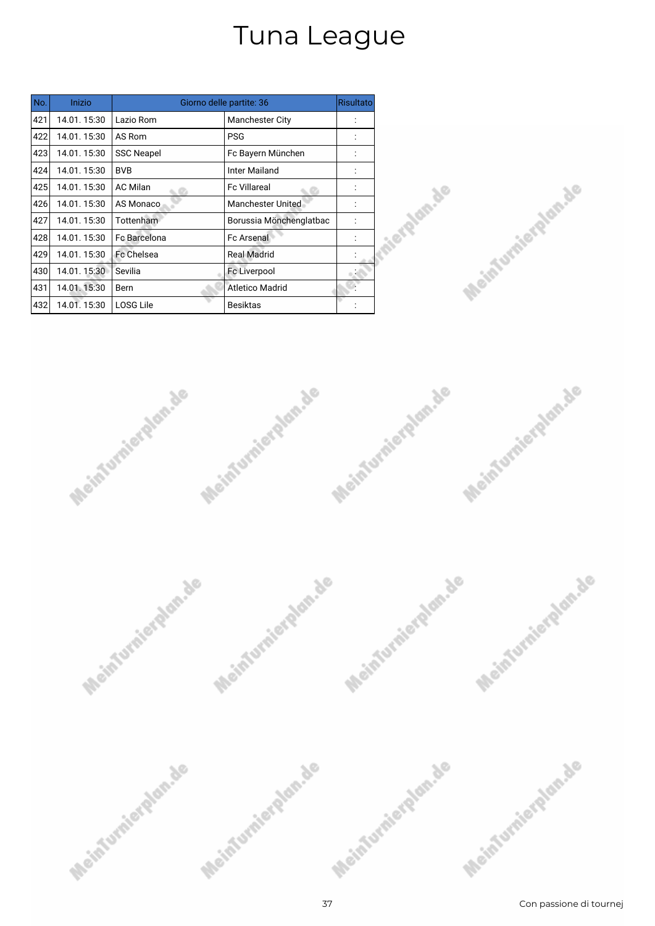| No. | Inizio      |                   | Giorno delle partite: 36 | <b>Risultato</b> |
|-----|-------------|-------------------|--------------------------|------------------|
| 421 | 14.01.15:30 | Lazio Rom         | <b>Manchester City</b>   |                  |
| 422 | 14.01.15:30 | AS Rom            | <b>PSG</b>               |                  |
| 423 | 14.01.15:30 | <b>SSC Neapel</b> | Fc Bayern München        |                  |
| 424 | 14.01.15:30 | <b>BVB</b>        | Inter Mailand            |                  |
| 425 | 14.01.15:30 | <b>AC Milan</b>   | <b>Fc Villareal</b>      |                  |
| 426 | 14.01.15:30 | AS Monaco         | <b>Manchester United</b> |                  |
| 427 | 14.01.15:30 | Tottenham         | Borussia Mönchenglatbac  |                  |
| 428 | 14.01.15:30 | Fc Barcelona      | Fc Arsenal               |                  |
| 429 | 14.01.15:30 | Fc Chelsea        | <b>Real Madrid</b>       |                  |
| 430 | 14.01.15:30 | Sevilia           | Fc Liverpool             |                  |
| 431 | 14.01.15:30 | Bern              | <b>Atletico Madrid</b>   |                  |
| 432 | 14.01.15:30 | <b>LOSG Lile</b>  | <b>Besiktas</b>          |                  |







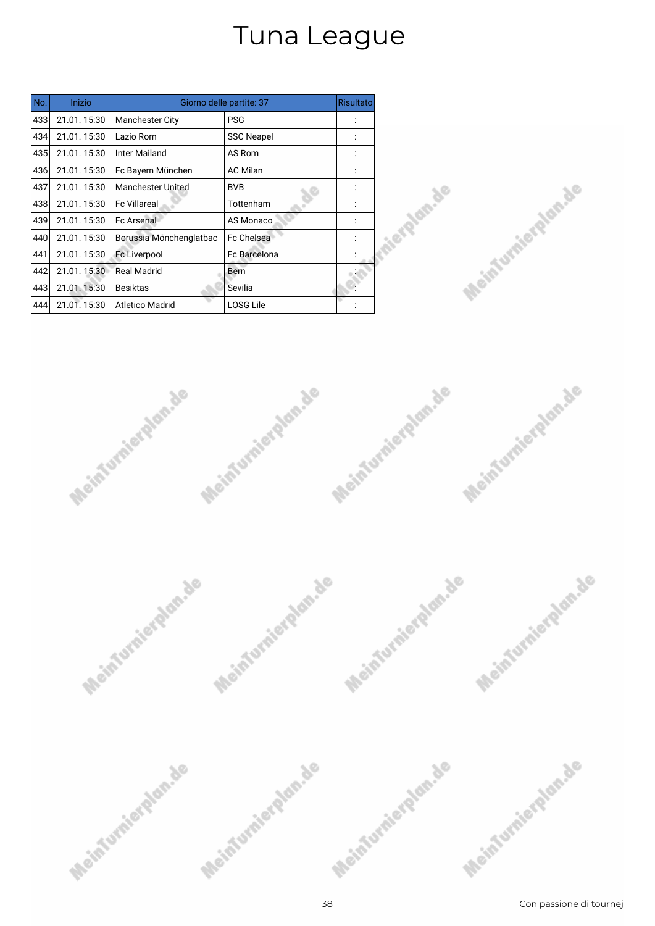| No. | Inizio      |                          | Giorno delle partite: 37 | <b>Risultato</b> |
|-----|-------------|--------------------------|--------------------------|------------------|
| 433 | 21.01.15:30 | <b>Manchester City</b>   | <b>PSG</b>               |                  |
| 434 | 21.01.15:30 | Lazio Rom                | <b>SSC Neapel</b>        |                  |
| 435 | 21.01.15:30 | Inter Mailand            | AS Rom                   |                  |
| 436 | 21.01.15:30 | Fc Bayern München        | <b>AC Milan</b>          |                  |
| 437 | 21.01.15:30 | <b>Manchester United</b> | <b>BVB</b>               |                  |
| 438 | 21.01.15:30 | <b>Fc Villareal</b>      | Tottenham                |                  |
| 439 | 21.01.15:30 | <b>Fc Arsenal</b>        | AS Monaco                |                  |
| 440 | 21.01.15:30 | Borussia Mönchenglatbac  | <b>Fc Chelsea</b>        |                  |
| 441 | 21.01.15:30 | Fc Liverpool             | <b>Fc Barcelona</b>      |                  |
| 442 | 21.01.15:30 | <b>Real Madrid</b>       | Bern                     |                  |
| 443 | 21.01.15:30 | <b>Besiktas</b>          | Sevilia                  |                  |
| 444 | 21.01.15:30 | <b>Atletico Madrid</b>   | <b>LOSG Lile</b>         |                  |







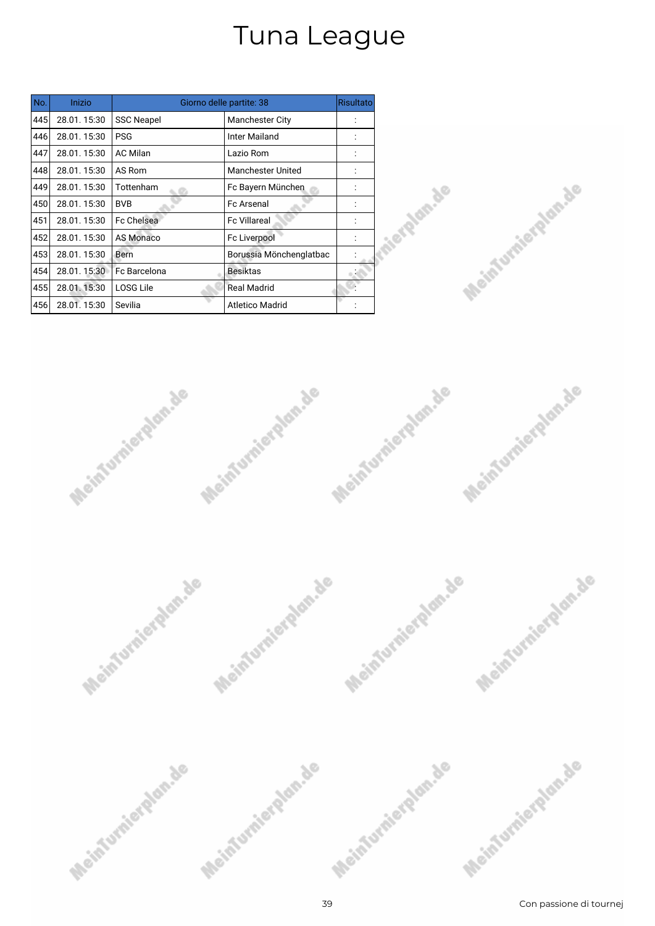| No. | Inizio      |                   | Giorno delle partite: 38 | Risultato |
|-----|-------------|-------------------|--------------------------|-----------|
| 445 | 28.01.15:30 | <b>SSC Neapel</b> | <b>Manchester City</b>   |           |
| 446 | 28.01.15:30 | <b>PSG</b>        | Inter Mailand            |           |
| 447 | 28.01.15:30 | <b>AC Milan</b>   | Lazio Rom                |           |
| 448 | 28.01.15:30 | AS Rom            | <b>Manchester United</b> |           |
| 449 | 28.01.15:30 | Tottenham         | Fc Bayern München        |           |
| 450 | 28.01.15:30 | <b>BVB</b>        | <b>Fc Arsenal</b>        |           |
| 451 | 28.01.15:30 | <b>Fc Chelsea</b> | <b>Fc Villareal</b>      |           |
| 452 | 28.01.15:30 | AS Monaco         | Fc Liverpool             |           |
| 453 | 28.01.15:30 | Bern              | Borussia Mönchenglatbac  |           |
| 454 | 28.01.15:30 | Fc Barcelona      | <b>Besiktas</b>          |           |
| 455 | 28.01.15:30 | <b>LOSG Lile</b>  | <b>Real Madrid</b>       |           |
| 456 | 28.01.15:30 | Sevilia           | <b>Atletico Madrid</b>   |           |







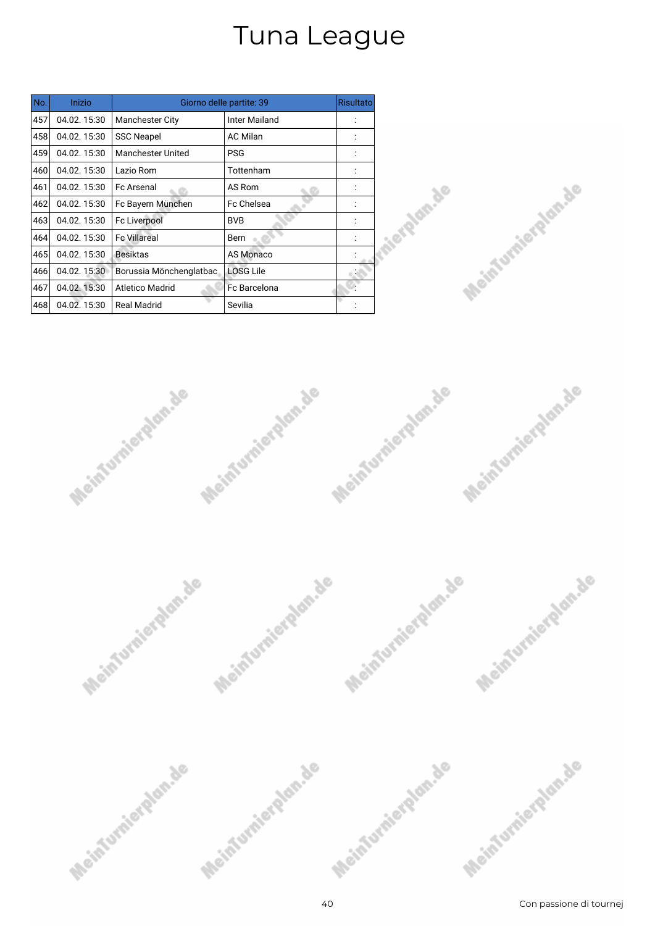| No. | Inizio      |                          | Giorno delle partite: 39 | Risultato |
|-----|-------------|--------------------------|--------------------------|-----------|
| 457 | 04.02.15:30 | <b>Manchester City</b>   | Inter Mailand            |           |
| 458 | 04.02.15:30 | <b>SSC Neapel</b>        | <b>AC Milan</b>          |           |
| 459 | 04.02.15:30 | <b>Manchester United</b> | <b>PSG</b>               |           |
| 460 | 04.02.15:30 | Lazio Rom                | Tottenham                |           |
| 461 | 04.02.15:30 | <b>Fc Arsenal</b>        | AS Rom                   |           |
| 462 | 04.02.15:30 | Fc Bayern München        | Fc Chelsea               |           |
| 463 | 04.02.15:30 | Fc Liverpool             | <b>BVB</b>               |           |
| 464 | 04.02.15:30 | <b>Fc Villareal</b>      | Bern                     |           |
| 465 | 04.02.15:30 | <b>Besiktas</b>          | AS Monaco                |           |
| 466 | 04.02.15:30 | Borussia Mönchenglatbac  | <b>LOSG Lile</b>         |           |
| 467 | 04.02.15:30 | <b>Atletico Madrid</b>   | <b>Fc Barcelona</b>      |           |
| 468 | 04.02.15:30 | <b>Real Madrid</b>       | Sevilia                  |           |







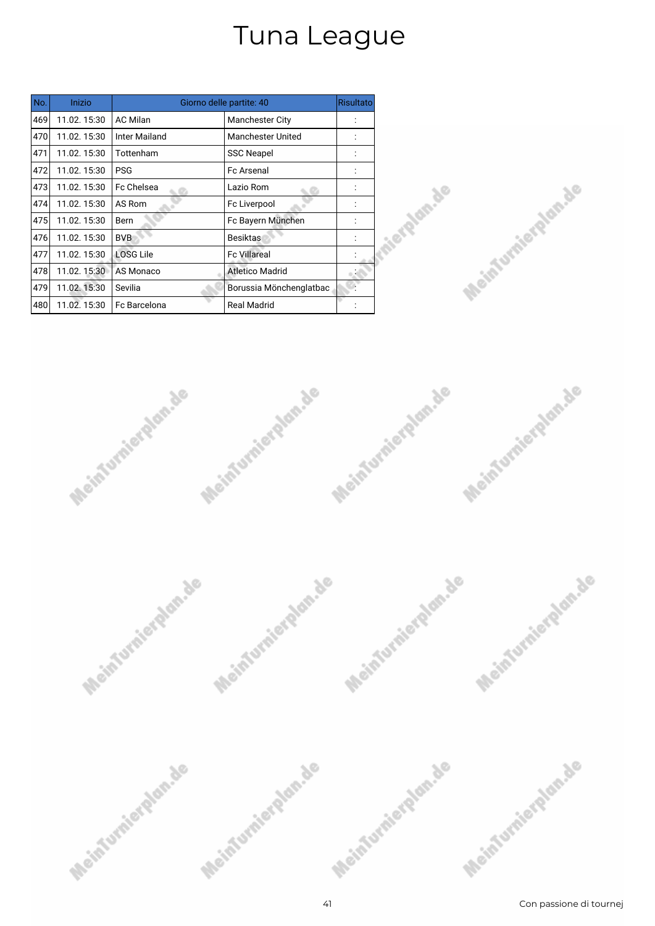| No. | Inizio       |                      | Giorno delle partite: 40 | <b>Risultato</b> |
|-----|--------------|----------------------|--------------------------|------------------|
| 469 | 11.02.15:30  | <b>AC Milan</b>      | <b>Manchester City</b>   |                  |
| 470 | 11.02.15:30  | <b>Inter Mailand</b> | <b>Manchester United</b> |                  |
| 471 | 11.02.15:30  | Tottenham            | <b>SSC Neapel</b>        |                  |
| 472 | 11.02.15:30  | <b>PSG</b>           | <b>Fc Arsenal</b>        |                  |
| 473 | 11.02.15:30  | Fc Chelsea           | Lazio Rom                |                  |
| 474 | 11.02.15:30  | AS Rom               | Fc Liverpool             |                  |
| 475 | 11.02.15:30  | Bern                 | Fc Bayern München        |                  |
| 476 | 11.02.15:30  | <b>BVB</b>           | <b>Besiktas</b>          |                  |
| 477 | 11.02.15:30  | <b>LOSG Lile</b>     | <b>Fc Villareal</b>      |                  |
| 478 | 11.02.15:30  | AS Monaco            | <b>Atletico Madrid</b>   |                  |
| 479 | 11.02. 15:30 | Sevilia              | Borussia Mönchenglatbac  |                  |
| 480 | 11.02.15:30  | Fc Barcelona         | <b>Real Madrid</b>       |                  |







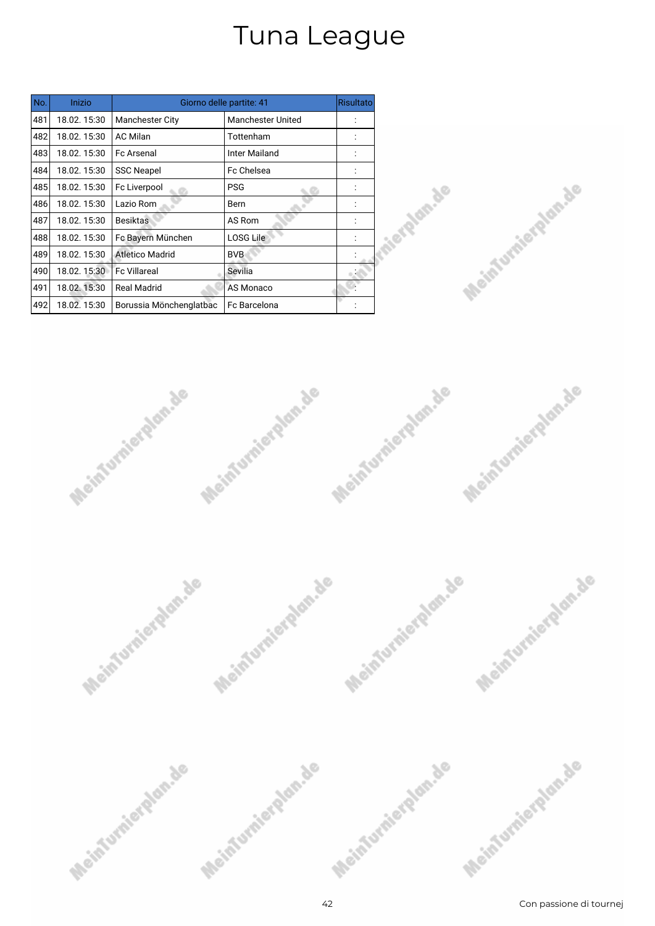| No. | Inizio       |                         | Giorno delle partite: 41 | Risultato |
|-----|--------------|-------------------------|--------------------------|-----------|
| 481 | 18.02.15:30  | <b>Manchester City</b>  | <b>Manchester United</b> |           |
| 482 | 18.02.15:30  | <b>AC Milan</b>         | Tottenham                |           |
| 483 | 18.02.15:30  | <b>Fc Arsenal</b>       | <b>Inter Mailand</b>     |           |
| 484 | 18.02.15:30  | <b>SSC Neapel</b>       | Fc Chelsea               |           |
| 485 | 18.02.15:30  | Fc Liverpool            | <b>PSG</b>               |           |
| 486 | 18.02.15:30  | Lazio Rom               | Bern                     |           |
| 487 | 18.02.15:30  | <b>Besiktas</b>         | AS Rom                   |           |
| 488 | 18.02.15:30  | Fc Bayern München       | <b>LOSG Lile</b>         |           |
| 489 | 18.02.15:30  | <b>Atletico Madrid</b>  | <b>BVB</b>               |           |
| 490 | 18.02.15:30  | <b>Fc Villareal</b>     | Sevilia                  |           |
| 491 | 18.02. 15:30 | Real Madrid             | AS Monaco                |           |
| 492 | 18.02.15:30  | Borussia Mönchenglatbac | <b>Fc Barcelona</b>      |           |







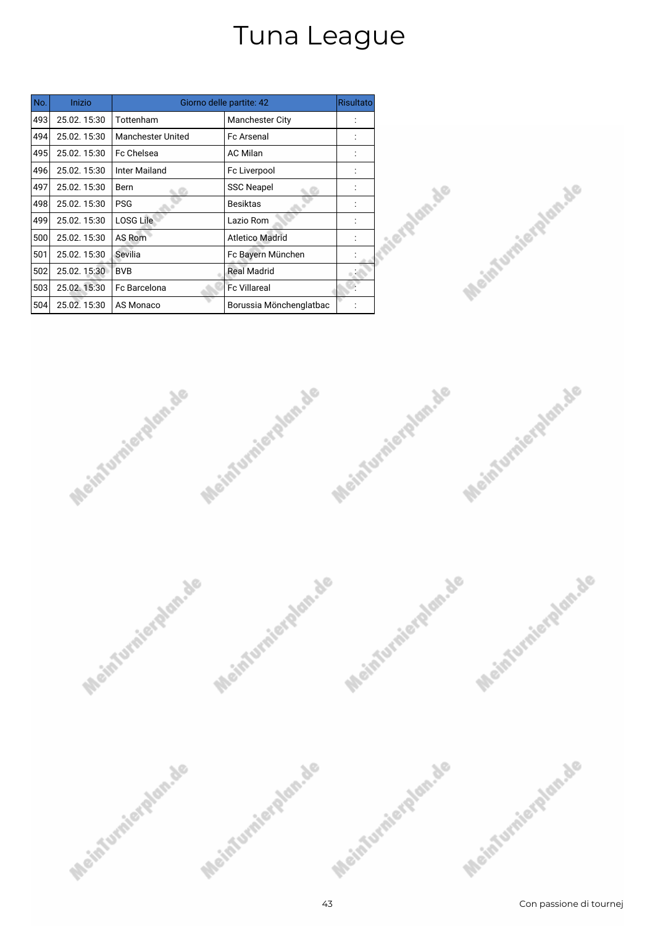| No. | Inizio      |                          | Giorno delle partite: 42 | <b>Risultato</b> |
|-----|-------------|--------------------------|--------------------------|------------------|
| 493 | 25.02.15:30 | Tottenham                | <b>Manchester City</b>   |                  |
| 494 | 25.02.15:30 | <b>Manchester United</b> | <b>Fc Arsenal</b>        |                  |
| 495 | 25.02.15:30 | Fc Chelsea               | <b>AC Milan</b>          |                  |
| 496 | 25.02.15:30 | Inter Mailand            | Fc Liverpool             |                  |
| 497 | 25.02.15:30 | Bern                     | <b>SSC Neapel</b>        |                  |
| 498 | 25.02.15:30 | <b>PSG</b>               | <b>Besiktas</b>          |                  |
| 499 | 25.02.15:30 | <b>LOSG Lile</b>         | Lazio Rom                |                  |
| 500 | 25.02.15:30 | AS Rom                   | <b>Atletico Madrid</b>   |                  |
| 501 | 25.02.15:30 | Sevilia                  | Fc Bayern München        |                  |
| 502 | 25.02.15:30 | <b>BVB</b>               | <b>Real Madrid</b>       |                  |
| 503 | 25.02.15:30 | Fc Barcelona             | <b>Fc Villareal</b>      |                  |
| 504 | 25.02.15:30 | AS Monaco                | Borussia Mönchenglatbac  |                  |







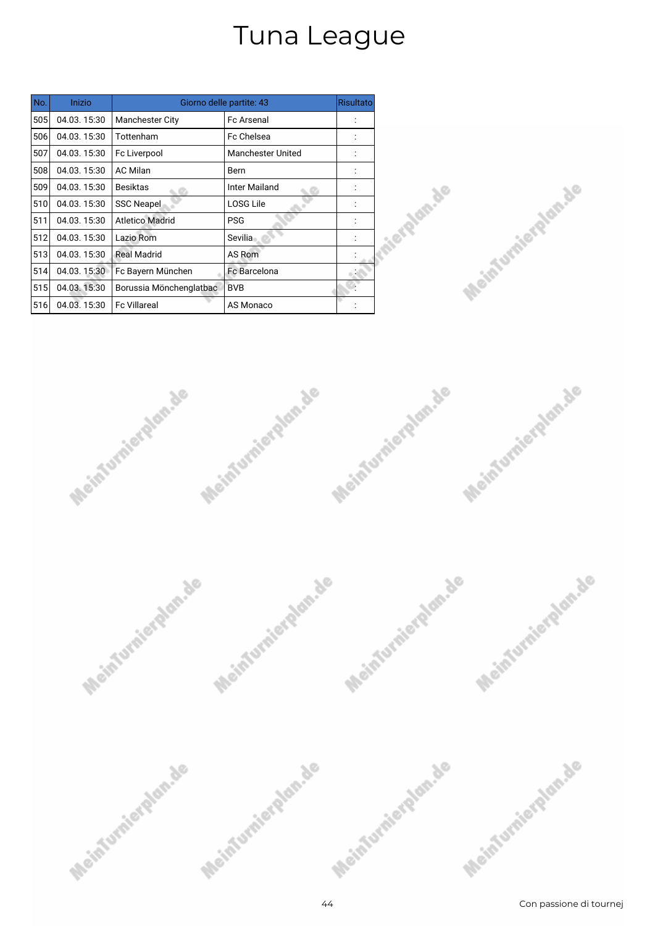| No. | Inizio      |                         | Giorno delle partite: 43 | <b>Risultato</b> |
|-----|-------------|-------------------------|--------------------------|------------------|
| 505 | 04.03.15:30 | <b>Manchester City</b>  | <b>Fc Arsenal</b>        |                  |
| 506 | 04.03.15:30 | Tottenham               | <b>Fc Chelsea</b>        |                  |
| 507 | 04.03.15:30 | Fc Liverpool            | <b>Manchester United</b> |                  |
| 508 | 04.03.15:30 | <b>AC Milan</b>         | <b>Bern</b>              |                  |
| 509 | 04.03.15:30 | <b>Besiktas</b>         | Inter Mailand            |                  |
| 510 | 04.03.15:30 | <b>SSC Neapel</b>       | <b>LOSG Lile</b>         |                  |
| 511 | 04.03.15:30 | <b>Atletico Madrid</b>  | <b>PSG</b>               |                  |
| 512 | 04.03.15:30 | Lazio Rom               | Sevilia                  |                  |
| 513 | 04.03.15:30 | <b>Real Madrid</b>      | AS Rom                   |                  |
| 514 | 04.03.15:30 | Fc Bayern München       | <b>Fc Barcelona</b>      |                  |
| 515 | 04.03.15:30 | Borussia Mönchenglatbac | <b>BVB</b>               |                  |
| 516 | 04.03.15:30 | <b>Fc Villareal</b>     | AS Monaco                |                  |







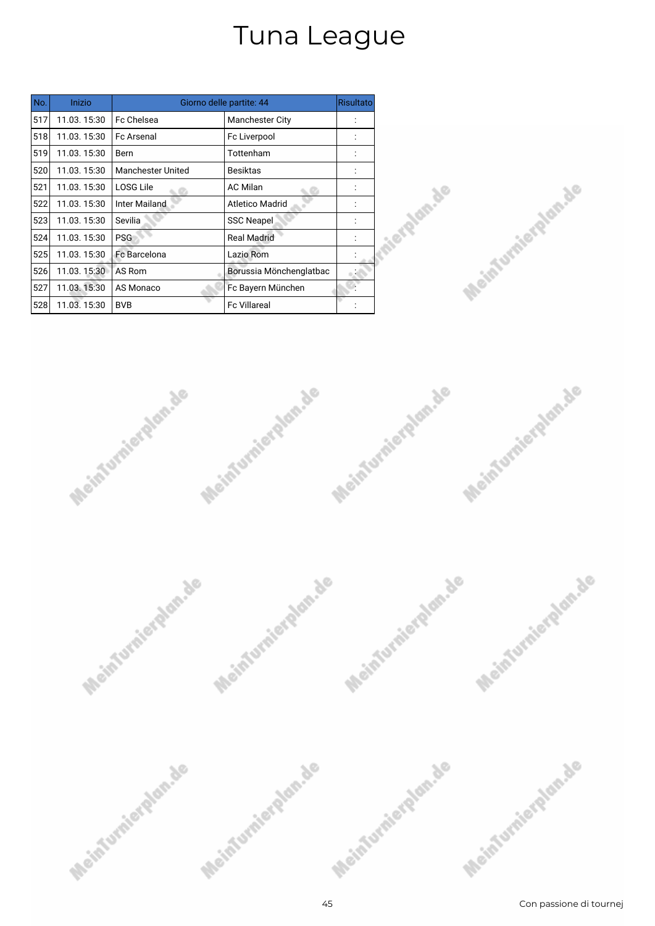| No. | Inizio      |                          | Giorno delle partite: 44 | <b>Risultato</b> |
|-----|-------------|--------------------------|--------------------------|------------------|
| 517 | 11.03.15:30 | Fc Chelsea               | <b>Manchester City</b>   |                  |
| 518 | 11.03.15:30 | <b>Fc Arsenal</b>        | Fc Liverpool             |                  |
| 519 | 11.03.15:30 | Bern                     | Tottenham                |                  |
| 520 | 11.03.15:30 | <b>Manchester United</b> | <b>Besiktas</b>          |                  |
| 521 | 11.03.15:30 | LOSG Lile                | <b>AC Milan</b>          |                  |
| 522 | 11.03.15:30 | <b>Inter Mailand</b>     | <b>Atletico Madrid</b>   |                  |
| 523 | 11.03.15:30 | Sevilia                  | <b>SSC Neapel</b>        |                  |
| 524 | 11.03.15:30 | <b>PSG</b>               | <b>Real Madrid</b>       |                  |
| 525 | 11.03.15:30 | Fc Barcelona             | Lazio Rom                |                  |
| 526 | 11.03.15:30 | AS Rom                   | Borussia Mönchenglatbac  |                  |
| 527 | 11.03.15:30 | AS Monaco                | Fc Bayern München        |                  |
| 528 | 11.03.15:30 | <b>BVB</b>               | <b>Fc Villareal</b>      |                  |







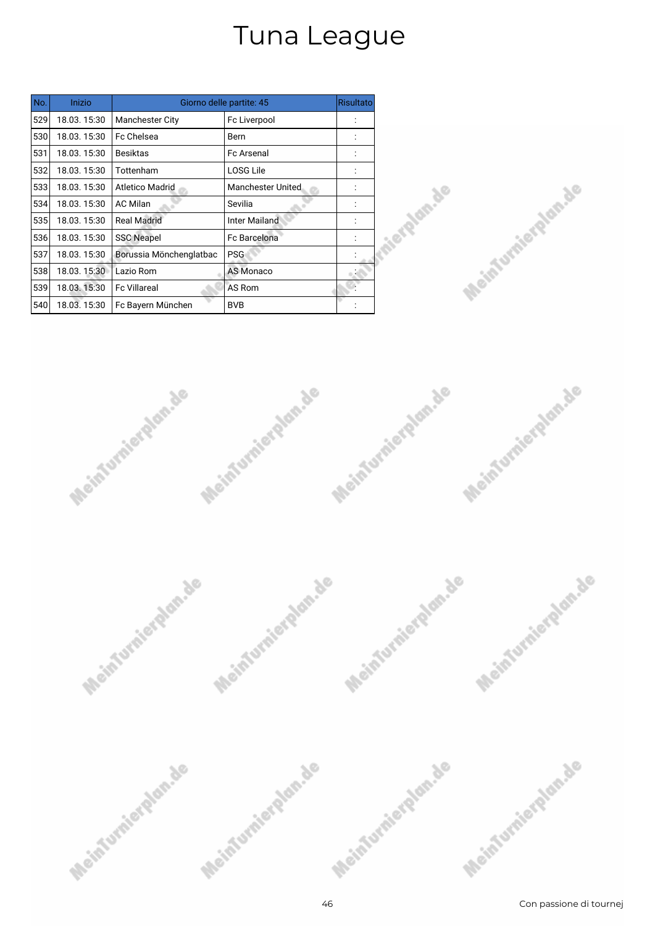| No. | Inizio      |                         | Giorno delle partite: 45 | <b>Risultato</b> |
|-----|-------------|-------------------------|--------------------------|------------------|
| 529 | 18.03.15:30 | <b>Manchester City</b>  | Fc Liverpool             |                  |
| 530 | 18.03.15:30 | Fc Chelsea              | Bern                     |                  |
| 531 | 18.03.15:30 | <b>Besiktas</b>         | <b>Fc Arsenal</b>        |                  |
| 532 | 18.03.15:30 | Tottenham               | <b>LOSG Lile</b>         |                  |
| 533 | 18.03.15:30 | <b>Atletico Madrid</b>  | <b>Manchester United</b> |                  |
| 534 | 18.03.15:30 | <b>AC Milan</b>         | Sevilia                  |                  |
| 535 | 18.03.15:30 | <b>Real Madrid</b>      | <b>Inter Mailand</b>     |                  |
| 536 | 18.03.15:30 | <b>SSC Neapel</b>       | <b>Fc Barcelona</b>      |                  |
| 537 | 18.03.15:30 | Borussia Mönchenglatbac | <b>PSG</b>               |                  |
| 538 | 18.03.15:30 | Lazio Rom               | <b>AS Monaco</b>         |                  |
| 539 | 18.03.15:30 | <b>Fc Villareal</b>     | AS Rom                   |                  |
| 540 | 18.03.15:30 | Fc Bayern München       | <b>BVB</b>               |                  |